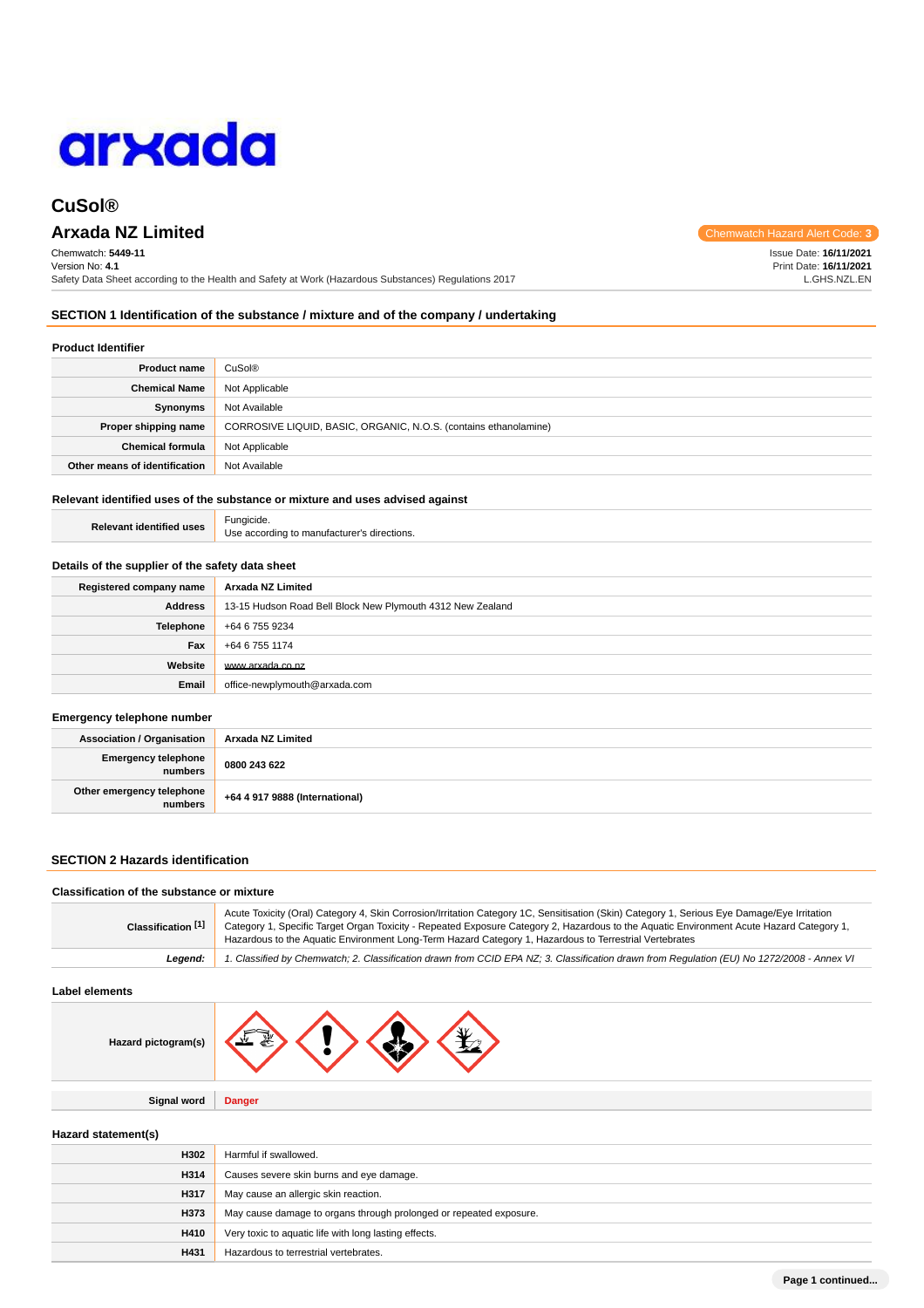

# **Arxada NZ Limited** Chemwatch Hazard Alert Code: **3**

Chemwatch: **5449-11** Version No: **4.1** Safety Data Sheet according to the Health and Safety at Work (Hazardous Substances) Regulations 2017

**SECTION 1 Identification of the substance / mixture and of the company / undertaking**

# **Product Identifier**

| <b>Product name</b>           | CuSol <sup>®</sup>                                               |
|-------------------------------|------------------------------------------------------------------|
| <b>Chemical Name</b>          | Not Applicable                                                   |
| Synonyms                      | Not Available                                                    |
| Proper shipping name          | CORROSIVE LIQUID, BASIC, ORGANIC, N.O.S. (contains ethanolamine) |
| <b>Chemical formula</b>       | Not Applicable                                                   |
| Other means of identification | Not Available                                                    |

# **Relevant identified uses of the substance or mixture and uses advised against**

| <b>Relevant identified uses</b> | Fungicide.                                  |
|---------------------------------|---------------------------------------------|
|                                 | Use according to manufacturer's directions. |

#### **Details of the supplier of the safety data sheet**

| Registered company name | Arxada NZ Limited                                          |  |
|-------------------------|------------------------------------------------------------|--|
| Address                 | 13-15 Hudson Road Bell Block New Plymouth 4312 New Zealand |  |
| <b>Telephone</b>        | +64 6 755 9234                                             |  |
| Fax                     | +64 6 755 1174                                             |  |
| Website                 | www.arxada.co.nz                                           |  |
| Email                   | office-newplymouth@arxada.com                              |  |

#### **Emergency telephone number**

| <b>Association / Organisation</b>    | Arxada NZ Limited              |
|--------------------------------------|--------------------------------|
| Emergency telephone<br>numbers       | 0800 243 622                   |
| Other emergency telephone<br>numbers | +64 4 917 9888 (International) |

# **SECTION 2 Hazards identification**

# **Classification of the substance or mixture**

| Classification [1] | Acute Toxicity (Oral) Category 4, Skin Corrosion/Irritation Category 1C, Sensitisation (Skin) Category 1, Serious Eye Damage/Eye Irritation<br>Category 1, Specific Target Organ Toxicity - Repeated Exposure Category 2, Hazardous to the Aguatic Environment Acute Hazard Category 1,<br>Hazardous to the Aquatic Environment Long-Term Hazard Category 1, Hazardous to Terrestrial Vertebrates |
|--------------------|---------------------------------------------------------------------------------------------------------------------------------------------------------------------------------------------------------------------------------------------------------------------------------------------------------------------------------------------------------------------------------------------------|
| Leaend:            | 1. Classified by Chemwatch; 2. Classification drawn from CCID EPA NZ; 3. Classification drawn from Regulation (EU) No 1272/2008 - Annex VI                                                                                                                                                                                                                                                        |

## **Label elements**

**Signal word Danger**

# **Hazard statement(s)**

| H302 | Harmful if swallowed.                                              |
|------|--------------------------------------------------------------------|
| H314 | Causes severe skin burns and eye damage.                           |
| H317 | May cause an allergic skin reaction.                               |
| H373 | May cause damage to organs through prolonged or repeated exposure. |
| H410 | Very toxic to aquatic life with long lasting effects.              |
| H431 | Hazardous to terrestrial vertebrates.                              |

Issue Date: **16/11/2021**

Print Date: **16/11/2021** L.GHS.NZL.EN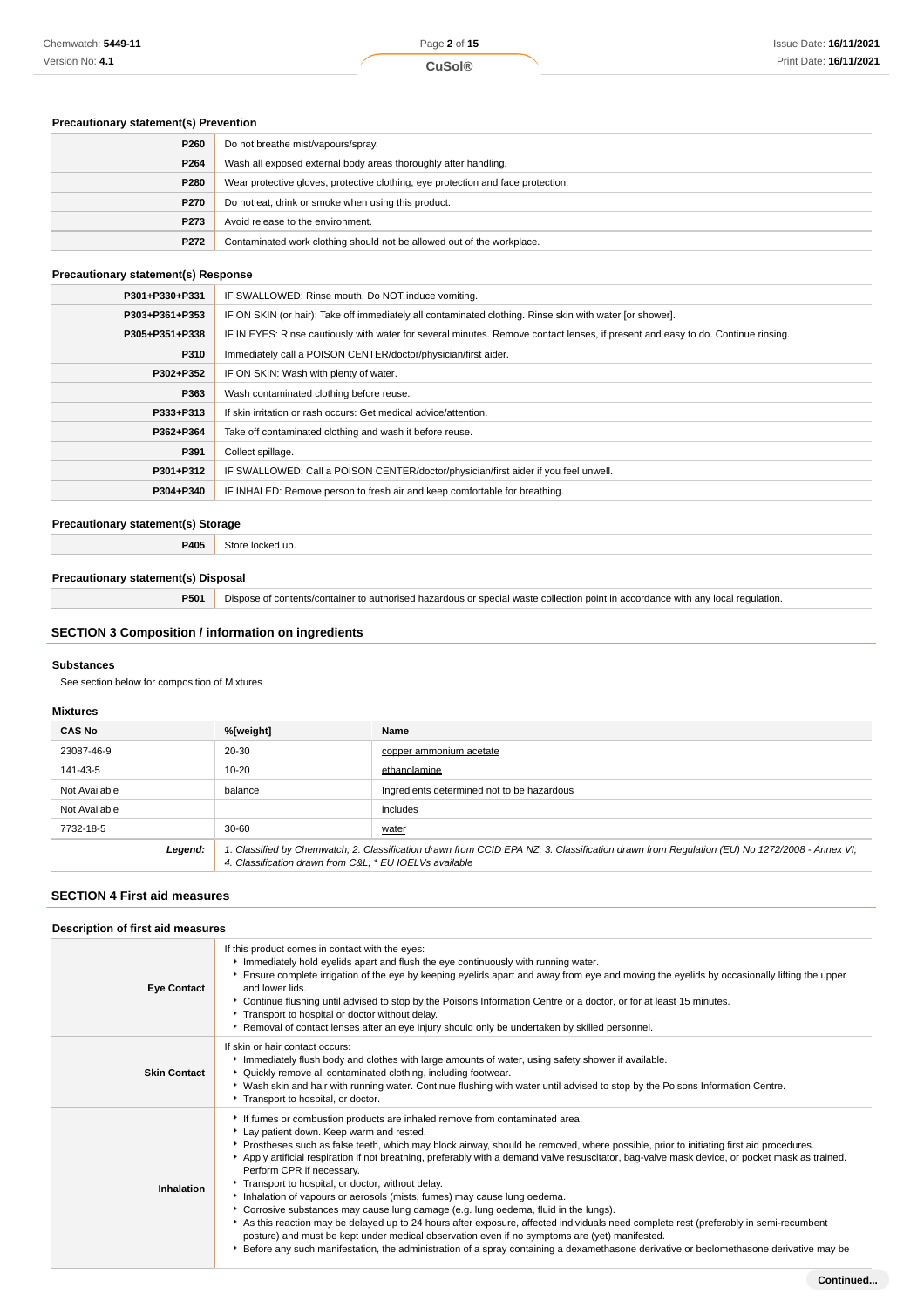# **Precautionary statement(s) Prevention**

| P260 | Do not breathe mist/vapours/spray.                                               |
|------|----------------------------------------------------------------------------------|
| P264 | Wash all exposed external body areas thoroughly after handling.                  |
| P280 | Wear protective gloves, protective clothing, eye protection and face protection. |
| P270 | Do not eat, drink or smoke when using this product.                              |
| P273 | Avoid release to the environment.                                                |
| P272 | Contaminated work clothing should not be allowed out of the workplace.           |

# **Precautionary statement(s) Response**

| P301+P330+P331 | IF SWALLOWED: Rinse mouth. Do NOT induce vomiting.                                                                               |
|----------------|----------------------------------------------------------------------------------------------------------------------------------|
| P303+P361+P353 | IF ON SKIN (or hair): Take off immediately all contaminated clothing. Rinse skin with water [or shower].                         |
| P305+P351+P338 | IF IN EYES: Rinse cautiously with water for several minutes. Remove contact lenses, if present and easy to do. Continue rinsing. |
| P310           | Immediately call a POISON CENTER/doctor/physician/first aider.                                                                   |
| P302+P352      | IF ON SKIN: Wash with plenty of water.                                                                                           |
| P363           | Wash contaminated clothing before reuse.                                                                                         |
| P333+P313      | If skin irritation or rash occurs: Get medical advice/attention.                                                                 |
| P362+P364      | Take off contaminated clothing and wash it before reuse.                                                                         |
| P391           | Collect spillage.                                                                                                                |
| P301+P312      | IF SWALLOWED: Call a POISON CENTER/doctor/physician/first aider if you feel unwell.                                              |
| P304+P340      | IF INHALED: Remove person to fresh air and keep comfortable for breathing.                                                       |

# **Precautionary statement(s) Storage**

**P405** Store locked up.

# **Precautionary statement(s) Disposal**

**P501** Dispose of contents/container to authorised hazardous or special waste collection point in accordance with any local regulation.

# **SECTION 3 Composition / information on ingredients**

#### **Substances**

See section below for composition of Mixtures

#### **Mixtures**

| <b>CAS No</b> | %[weight]                                                                                                                                                                                             | Name                                       |
|---------------|-------------------------------------------------------------------------------------------------------------------------------------------------------------------------------------------------------|--------------------------------------------|
| 23087-46-9    | 20-30                                                                                                                                                                                                 | copper ammonium acetate                    |
| 141-43-5      | $10 - 20$                                                                                                                                                                                             | ethanolamine                               |
| Not Available | balance                                                                                                                                                                                               | Ingredients determined not to be hazardous |
| Not Available |                                                                                                                                                                                                       | includes                                   |
| 7732-18-5     | $30 - 60$                                                                                                                                                                                             | water                                      |
| Legend:       | 1. Classified by Chemwatch; 2. Classification drawn from CCID EPA NZ; 3. Classification drawn from Requlation (EU) No 1272/2008 - Annex VI;<br>4. Classification drawn from C&L * EU IOELVs available |                                            |

# **SECTION 4 First aid measures**

| Description of first aid measures |                                                                                                                                                                                                                                                                                                                                                                                                                                                                                                                                                                                                                                                                                                                                                                                                                                                                                                                                                                                                                                                       |  |
|-----------------------------------|-------------------------------------------------------------------------------------------------------------------------------------------------------------------------------------------------------------------------------------------------------------------------------------------------------------------------------------------------------------------------------------------------------------------------------------------------------------------------------------------------------------------------------------------------------------------------------------------------------------------------------------------------------------------------------------------------------------------------------------------------------------------------------------------------------------------------------------------------------------------------------------------------------------------------------------------------------------------------------------------------------------------------------------------------------|--|
| <b>Eye Contact</b>                | If this product comes in contact with the eyes:<br>Immediately hold eyelids apart and flush the eye continuously with running water.<br>Ensure complete irrigation of the eye by keeping eyelids apart and away from eye and moving the eyelids by occasionally lifting the upper<br>and lower lids.<br>▶ Continue flushing until advised to stop by the Poisons Information Centre or a doctor, or for at least 15 minutes.<br>Transport to hospital or doctor without delay.<br>▶ Removal of contact lenses after an eye injury should only be undertaken by skilled personnel.                                                                                                                                                                                                                                                                                                                                                                                                                                                                     |  |
| <b>Skin Contact</b>               | If skin or hair contact occurs:<br>Immediately flush body and clothes with large amounts of water, using safety shower if available.<br>• Quickly remove all contaminated clothing, including footwear.<br>▶ Wash skin and hair with running water. Continue flushing with water until advised to stop by the Poisons Information Centre.<br>Transport to hospital, or doctor.                                                                                                                                                                                                                                                                                                                                                                                                                                                                                                                                                                                                                                                                        |  |
| Inhalation                        | If fumes or combustion products are inhaled remove from contaminated area.<br>Lay patient down. Keep warm and rested.<br>▶ Prostheses such as false teeth, which may block airway, should be removed, where possible, prior to initiating first aid procedures.<br>Apply artificial respiration if not breathing, preferably with a demand valve resuscitator, bag-valve mask device, or pocket mask as trained.<br>Perform CPR if necessary.<br>Transport to hospital, or doctor, without delay.<br>Inhalation of vapours or aerosols (mists, fumes) may cause lung oedema.<br>Corrosive substances may cause lung damage (e.g. lung oedema, fluid in the lungs).<br>As this reaction may be delayed up to 24 hours after exposure, affected individuals need complete rest (preferably in semi-recumbent<br>posture) and must be kept under medical observation even if no symptoms are (yet) manifested.<br>Effore any such manifestation, the administration of a spray containing a dexamethasone derivative or beclomethasone derivative may be |  |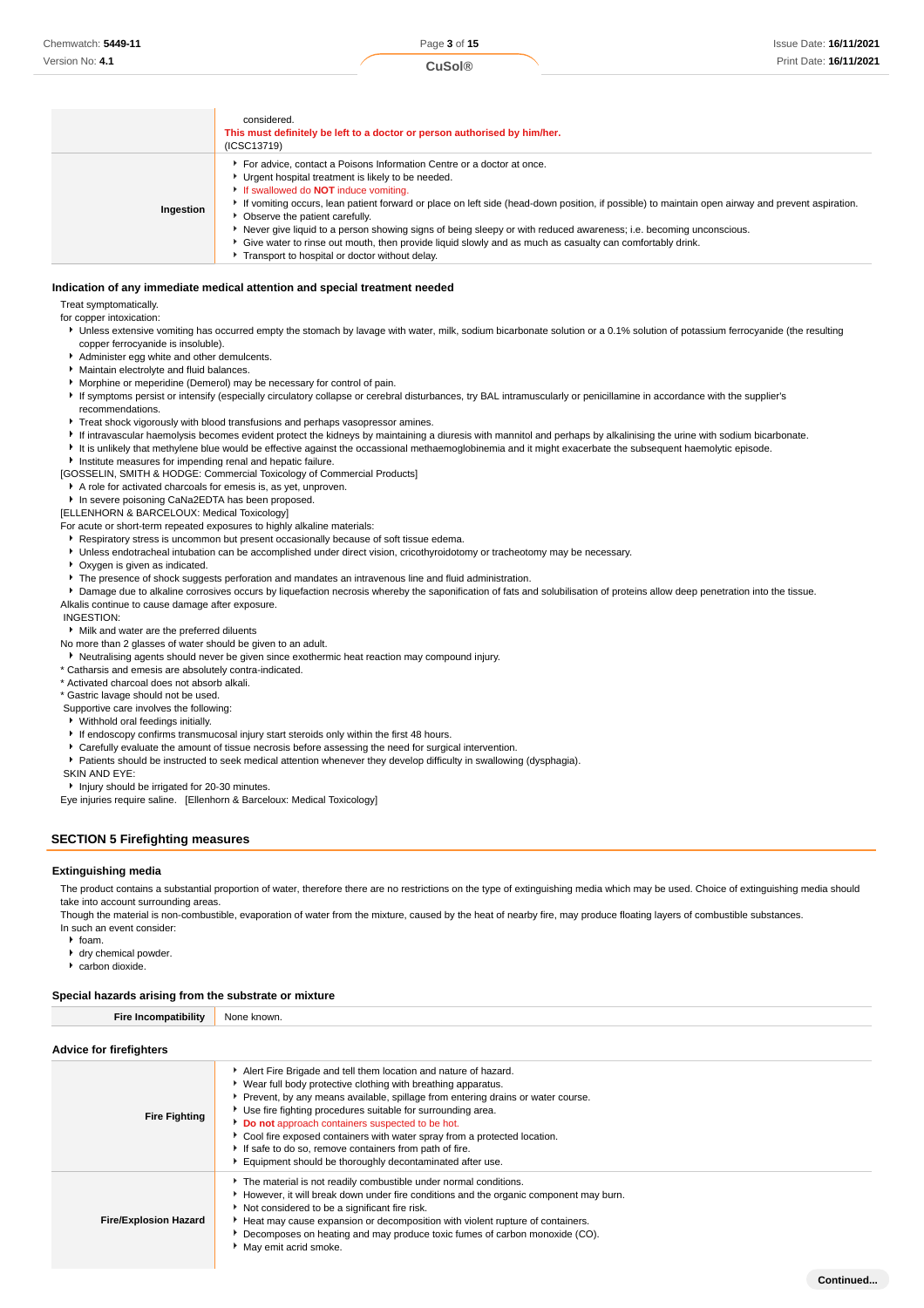**Continued...**

|           | considered.<br>This must definitely be left to a doctor or person authorised by him/her.<br>(ICSC13719)                                                                                                                                                                                                                                                                                                                                                                                                                                                                                                                                                |
|-----------|--------------------------------------------------------------------------------------------------------------------------------------------------------------------------------------------------------------------------------------------------------------------------------------------------------------------------------------------------------------------------------------------------------------------------------------------------------------------------------------------------------------------------------------------------------------------------------------------------------------------------------------------------------|
| Ingestion | For advice, contact a Poisons Information Centre or a doctor at once.<br>Urgent hospital treatment is likely to be needed.<br>If swallowed do <b>NOT</b> induce vomiting.<br>If vomiting occurs, lean patient forward or place on left side (head-down position, if possible) to maintain open airway and prevent aspiration.<br>• Observe the patient carefully.<br>▶ Never give liquid to a person showing signs of being sleepy or with reduced awareness; i.e. becoming unconscious.<br>Give water to rinse out mouth, then provide liquid slowly and as much as casualty can comfortably drink.<br>Transport to hospital or doctor without delay. |

#### **Indication of any immediate medical attention and special treatment needed**

Treat symptomatically.

for copper intoxication:

- ▶ Unless extensive vomiting has occurred empty the stomach by lavage with water, milk, sodium bicarbonate solution or a 0.1% solution of potassium ferrocyanide (the resulting copper ferrocyanide is insoluble).
- Administer egg white and other demulcents.
- Maintain electrolyte and fluid balances.
- Morphine or meperidine (Demerol) may be necessary for control of pain.
- If symptoms persist or intensify (especially circulatory collapse or cerebral disturbances, try BAL intramuscularly or penicillamine in accordance with the supplier's recommendations.
- Treat shock vigorously with blood transfusions and perhaps vasopressor amines.
- If intravascular haemolysis becomes evident protect the kidneys by maintaining a diuresis with mannitol and perhaps by alkalinising the urine with sodium bicarbonate.
- It is unlikely that methylene blue would be effective against the occassional methaemoglobinemia and it might exacerbate the subsequent haemolytic episode.
- **Institute measures for impending renal and hepatic failure.**

[GOSSELIN, SMITH & HODGE: Commercial Toxicology of Commercial Products]

- A role for activated charcoals for emesis is, as yet, unproven.
- In severe poisoning CaNa2EDTA has been proposed.

[ELLENHORN & BARCELOUX: Medical Toxicology]

For acute or short-term repeated exposures to highly alkaline materials:

Respiratory stress is uncommon but present occasionally because of soft tissue edema.

- Unless endotracheal intubation can be accomplished under direct vision, cricothyroidotomy or tracheotomy may be necessary.
- Oxygen is given as indicated.
- **F** The presence of shock suggests perforation and mandates an intravenous line and fluid administration.

**P** Damage due to alkaline corrosives occurs by liquefaction necrosis whereby the saponification of fats and solubilisation of proteins allow deep penetration into the tissue. Alkalis continue to cause damage after exposure.

INGESTION:

#### Milk and water are the preferred diluents

No more than 2 glasses of water should be given to an adult.

Neutralising agents should never be given since exothermic heat reaction may compound injury.

\* Catharsis and emesis are absolutely contra-indicated.

\* Activated charcoal does not absorb alkali.

\* Gastric lavage should not be used.

- Supportive care involves the following:
- Withhold oral feedings initially.
- If endoscopy confirms transmucosal injury start steroids only within the first 48 hours.
- Carefully evaluate the amount of tissue necrosis before assessing the need for surgical intervention.
- Patients should be instructed to seek medical attention whenever they develop difficulty in swallowing (dysphagia).

SKIN AND EYE:

**Injury should be irrigated for 20-30 minutes.** 

Eye injuries require saline. [Ellenhorn & Barceloux: Medical Toxicology]

# **SECTION 5 Firefighting measures**

## **Extinguishing media**

The product contains a substantial proportion of water, therefore there are no restrictions on the type of extinguishing media which may be used. Choice of extinguishing media should take into account surrounding areas.

Though the material is non-combustible, evaporation of water from the mixture, caused by the heat of nearby fire, may produce floating layers of combustible substances. In such an event consider:

 $\cdot$  foam.

- 
- dry chemical powder.
- carbon dioxide.

# **Special hazards arising from the substrate or mixture**

| <b>Fire Incompatibility</b> | None known. |
|-----------------------------|-------------|
|                             |             |

# **Advice for firefighters**

| Advice for firefighters      |                                                                                                                                                                                                                                                                                                                                                                                                                                                                                                                                            |
|------------------------------|--------------------------------------------------------------------------------------------------------------------------------------------------------------------------------------------------------------------------------------------------------------------------------------------------------------------------------------------------------------------------------------------------------------------------------------------------------------------------------------------------------------------------------------------|
| <b>Fire Fighting</b>         | Alert Fire Brigade and tell them location and nature of hazard.<br>▶ Wear full body protective clothing with breathing apparatus.<br>Prevent, by any means available, spillage from entering drains or water course.<br>▶ Use fire fighting procedures suitable for surrounding area.<br>Do not approach containers suspected to be hot.<br>Cool fire exposed containers with water spray from a protected location.<br>If safe to do so, remove containers from path of fire.<br>Equipment should be thoroughly decontaminated after use. |
| <b>Fire/Explosion Hazard</b> | The material is not readily combustible under normal conditions.<br>However, it will break down under fire conditions and the organic component may burn.<br>Not considered to be a significant fire risk.<br>► Heat may cause expansion or decomposition with violent rupture of containers.<br>Decomposes on heating and may produce toxic fumes of carbon monoxide (CO).<br>May emit acrid smoke.                                                                                                                                       |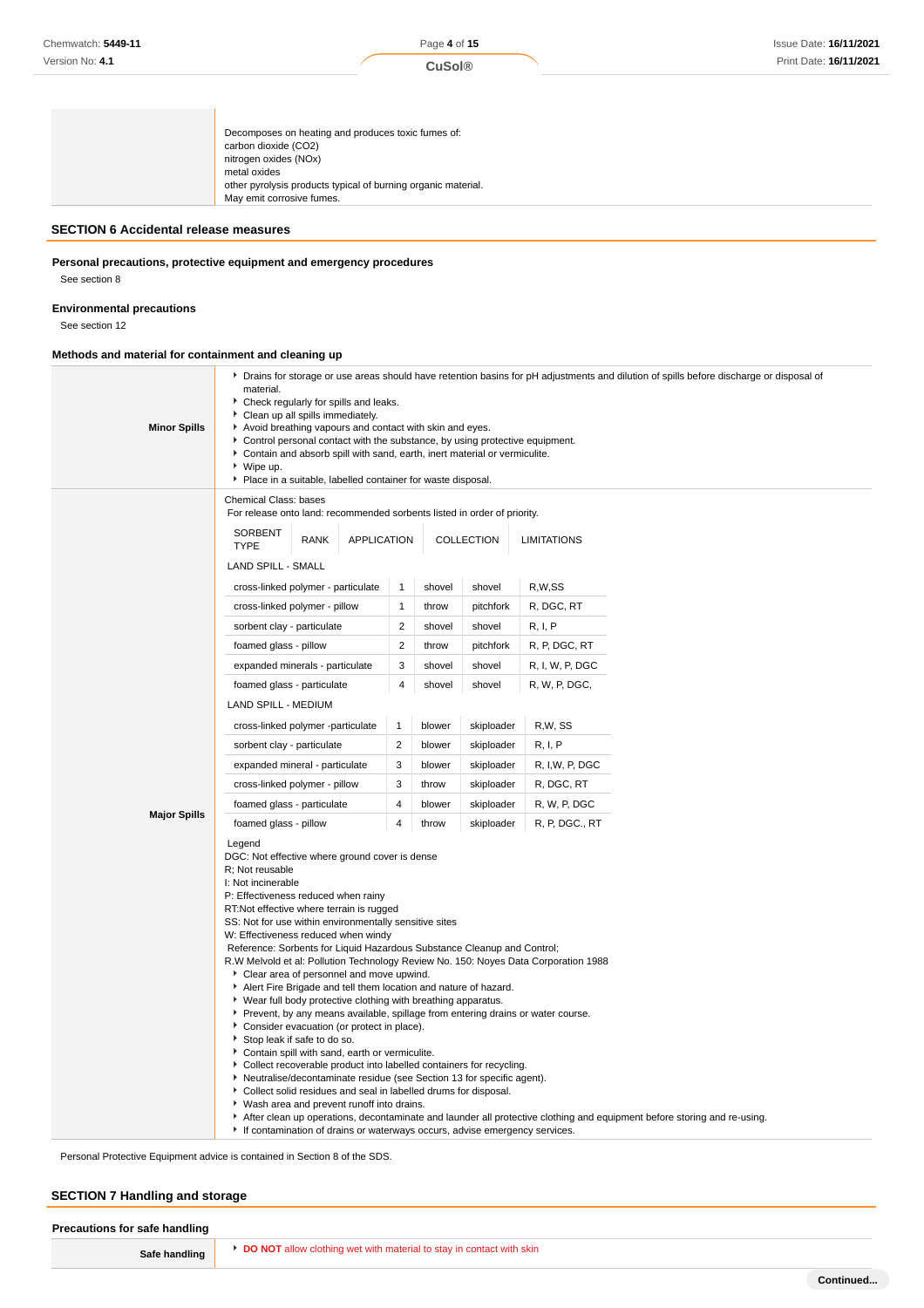# **SECTION 6 Accidental release measures**

# **Personal precautions, protective equipment and emergency procedures**

See section 8

# **Environmental precautions**

See section 12

# **Methods and material for containment and cleaning up**

| <b>Minor Spills</b>                                                                                                                                                                                                                                                                                                                                                                                                                                                                                                                                                                                                                                                                                                                                                                                                                                                                                                                                                                                                                                                                                                                                                                                                                                                                                                                     | Drains for storage or use areas should have retention basins for pH adjustments and dilution of spills before discharge or disposal of<br>material.<br>Check regularly for spills and leaks.<br>Clean up all spills immediately.<br>Avoid breathing vapours and contact with skin and eyes.<br>Control personal contact with the substance, by using protective equipment.<br>Contain and absorb spill with sand, earth, inert material or vermiculite.<br>▶ Wipe up.<br>Place in a suitable, labelled container for waste disposal. |                    |                          |            |                    |  |
|-----------------------------------------------------------------------------------------------------------------------------------------------------------------------------------------------------------------------------------------------------------------------------------------------------------------------------------------------------------------------------------------------------------------------------------------------------------------------------------------------------------------------------------------------------------------------------------------------------------------------------------------------------------------------------------------------------------------------------------------------------------------------------------------------------------------------------------------------------------------------------------------------------------------------------------------------------------------------------------------------------------------------------------------------------------------------------------------------------------------------------------------------------------------------------------------------------------------------------------------------------------------------------------------------------------------------------------------|--------------------------------------------------------------------------------------------------------------------------------------------------------------------------------------------------------------------------------------------------------------------------------------------------------------------------------------------------------------------------------------------------------------------------------------------------------------------------------------------------------------------------------------|--------------------|--------------------------|------------|--------------------|--|
|                                                                                                                                                                                                                                                                                                                                                                                                                                                                                                                                                                                                                                                                                                                                                                                                                                                                                                                                                                                                                                                                                                                                                                                                                                                                                                                                         | Chemical Class: bases<br>For release onto land: recommended sorbents listed in order of priority.                                                                                                                                                                                                                                                                                                                                                                                                                                    |                    |                          |            |                    |  |
|                                                                                                                                                                                                                                                                                                                                                                                                                                                                                                                                                                                                                                                                                                                                                                                                                                                                                                                                                                                                                                                                                                                                                                                                                                                                                                                                         | <b>SORBENT</b><br><b>RANK</b><br><b>TYPE</b>                                                                                                                                                                                                                                                                                                                                                                                                                                                                                         | <b>APPLICATION</b> |                          | COLLECTION | <b>LIMITATIONS</b> |  |
|                                                                                                                                                                                                                                                                                                                                                                                                                                                                                                                                                                                                                                                                                                                                                                                                                                                                                                                                                                                                                                                                                                                                                                                                                                                                                                                                         | <b>LAND SPILL - SMALL</b>                                                                                                                                                                                                                                                                                                                                                                                                                                                                                                            |                    |                          |            |                    |  |
|                                                                                                                                                                                                                                                                                                                                                                                                                                                                                                                                                                                                                                                                                                                                                                                                                                                                                                                                                                                                                                                                                                                                                                                                                                                                                                                                         | cross-linked polymer - particulate                                                                                                                                                                                                                                                                                                                                                                                                                                                                                                   | $\mathbf{1}$       | shovel                   | shovel     | R,W,SS             |  |
|                                                                                                                                                                                                                                                                                                                                                                                                                                                                                                                                                                                                                                                                                                                                                                                                                                                                                                                                                                                                                                                                                                                                                                                                                                                                                                                                         | cross-linked polymer - pillow                                                                                                                                                                                                                                                                                                                                                                                                                                                                                                        |                    | $\mathbf{1}$<br>throw    | pitchfork  | R, DGC, RT         |  |
|                                                                                                                                                                                                                                                                                                                                                                                                                                                                                                                                                                                                                                                                                                                                                                                                                                                                                                                                                                                                                                                                                                                                                                                                                                                                                                                                         | sorbent clay - particulate                                                                                                                                                                                                                                                                                                                                                                                                                                                                                                           |                    | 2<br>shovel              | shovel     | R, I, P            |  |
|                                                                                                                                                                                                                                                                                                                                                                                                                                                                                                                                                                                                                                                                                                                                                                                                                                                                                                                                                                                                                                                                                                                                                                                                                                                                                                                                         | foamed glass - pillow                                                                                                                                                                                                                                                                                                                                                                                                                                                                                                                |                    | $\overline{2}$<br>throw  | pitchfork  | R, P, DGC, RT      |  |
|                                                                                                                                                                                                                                                                                                                                                                                                                                                                                                                                                                                                                                                                                                                                                                                                                                                                                                                                                                                                                                                                                                                                                                                                                                                                                                                                         | expanded minerals - particulate                                                                                                                                                                                                                                                                                                                                                                                                                                                                                                      |                    | 3<br>shovel              | shovel     | R, I, W, P, DGC    |  |
|                                                                                                                                                                                                                                                                                                                                                                                                                                                                                                                                                                                                                                                                                                                                                                                                                                                                                                                                                                                                                                                                                                                                                                                                                                                                                                                                         | foamed glass - particulate                                                                                                                                                                                                                                                                                                                                                                                                                                                                                                           |                    | $\overline{4}$<br>shovel | shovel     | R, W, P, DGC,      |  |
|                                                                                                                                                                                                                                                                                                                                                                                                                                                                                                                                                                                                                                                                                                                                                                                                                                                                                                                                                                                                                                                                                                                                                                                                                                                                                                                                         | LAND SPILL - MEDIUM                                                                                                                                                                                                                                                                                                                                                                                                                                                                                                                  |                    |                          |            |                    |  |
|                                                                                                                                                                                                                                                                                                                                                                                                                                                                                                                                                                                                                                                                                                                                                                                                                                                                                                                                                                                                                                                                                                                                                                                                                                                                                                                                         | cross-linked polymer -particulate                                                                                                                                                                                                                                                                                                                                                                                                                                                                                                    | $\mathbf{1}$       | blower                   | skiploader | R,W, SS            |  |
|                                                                                                                                                                                                                                                                                                                                                                                                                                                                                                                                                                                                                                                                                                                                                                                                                                                                                                                                                                                                                                                                                                                                                                                                                                                                                                                                         | sorbent clay - particulate                                                                                                                                                                                                                                                                                                                                                                                                                                                                                                           | $\overline{2}$     | blower                   | skiploader | R, I, P            |  |
|                                                                                                                                                                                                                                                                                                                                                                                                                                                                                                                                                                                                                                                                                                                                                                                                                                                                                                                                                                                                                                                                                                                                                                                                                                                                                                                                         | expanded mineral - particulate                                                                                                                                                                                                                                                                                                                                                                                                                                                                                                       |                    | 3<br>blower              | skiploader | R, I,W, P, DGC     |  |
|                                                                                                                                                                                                                                                                                                                                                                                                                                                                                                                                                                                                                                                                                                                                                                                                                                                                                                                                                                                                                                                                                                                                                                                                                                                                                                                                         | cross-linked polymer - pillow                                                                                                                                                                                                                                                                                                                                                                                                                                                                                                        | 3                  | throw                    | skiploader | R, DGC, RT         |  |
| <b>Major Spills</b>                                                                                                                                                                                                                                                                                                                                                                                                                                                                                                                                                                                                                                                                                                                                                                                                                                                                                                                                                                                                                                                                                                                                                                                                                                                                                                                     | foamed glass - particulate<br>4<br>blower<br>skiploader<br>R, W, P, DGC                                                                                                                                                                                                                                                                                                                                                                                                                                                              |                    |                          |            |                    |  |
|                                                                                                                                                                                                                                                                                                                                                                                                                                                                                                                                                                                                                                                                                                                                                                                                                                                                                                                                                                                                                                                                                                                                                                                                                                                                                                                                         | 4<br>foamed glass - pillow<br>throw<br>skiploader<br>R, P, DGC., RT                                                                                                                                                                                                                                                                                                                                                                                                                                                                  |                    |                          |            |                    |  |
| Legend<br>DGC: Not effective where ground cover is dense<br>R: Not reusable<br>I: Not incinerable<br>P: Effectiveness reduced when rainy<br>RT:Not effective where terrain is rugged<br>SS: Not for use within environmentally sensitive sites<br>W: Effectiveness reduced when windy<br>Reference: Sorbents for Liquid Hazardous Substance Cleanup and Control;<br>R.W Melvold et al: Pollution Technology Review No. 150: Noyes Data Corporation 1988<br>Clear area of personnel and move upwind.<br>Alert Fire Brigade and tell them location and nature of hazard.<br>• Wear full body protective clothing with breathing apparatus.<br>▶ Prevent, by any means available, spillage from entering drains or water course.<br>Consider evacuation (or protect in place).<br>Stop leak if safe to do so.<br>Contain spill with sand, earth or vermiculite.<br>Collect recoverable product into labelled containers for recycling.<br>Neutralise/decontaminate residue (see Section 13 for specific agent).<br>Collect solid residues and seal in labelled drums for disposal.<br>• Wash area and prevent runoff into drains.<br>After clean up operations, decontaminate and launder all protective clothing and equipment before storing and re-using.<br>If contamination of drains or waterways occurs, advise emergency services. |                                                                                                                                                                                                                                                                                                                                                                                                                                                                                                                                      |                    |                          |            |                    |  |

Personal Protective Equipment advice is contained in Section 8 of the SDS.

# **SECTION 7 Handling and storage**

| <b>DO NOT</b> allow clothing wet with material to stay in contact with skin | Precautions for safe handling |  |
|-----------------------------------------------------------------------------|-------------------------------|--|
|                                                                             | Safe handling                 |  |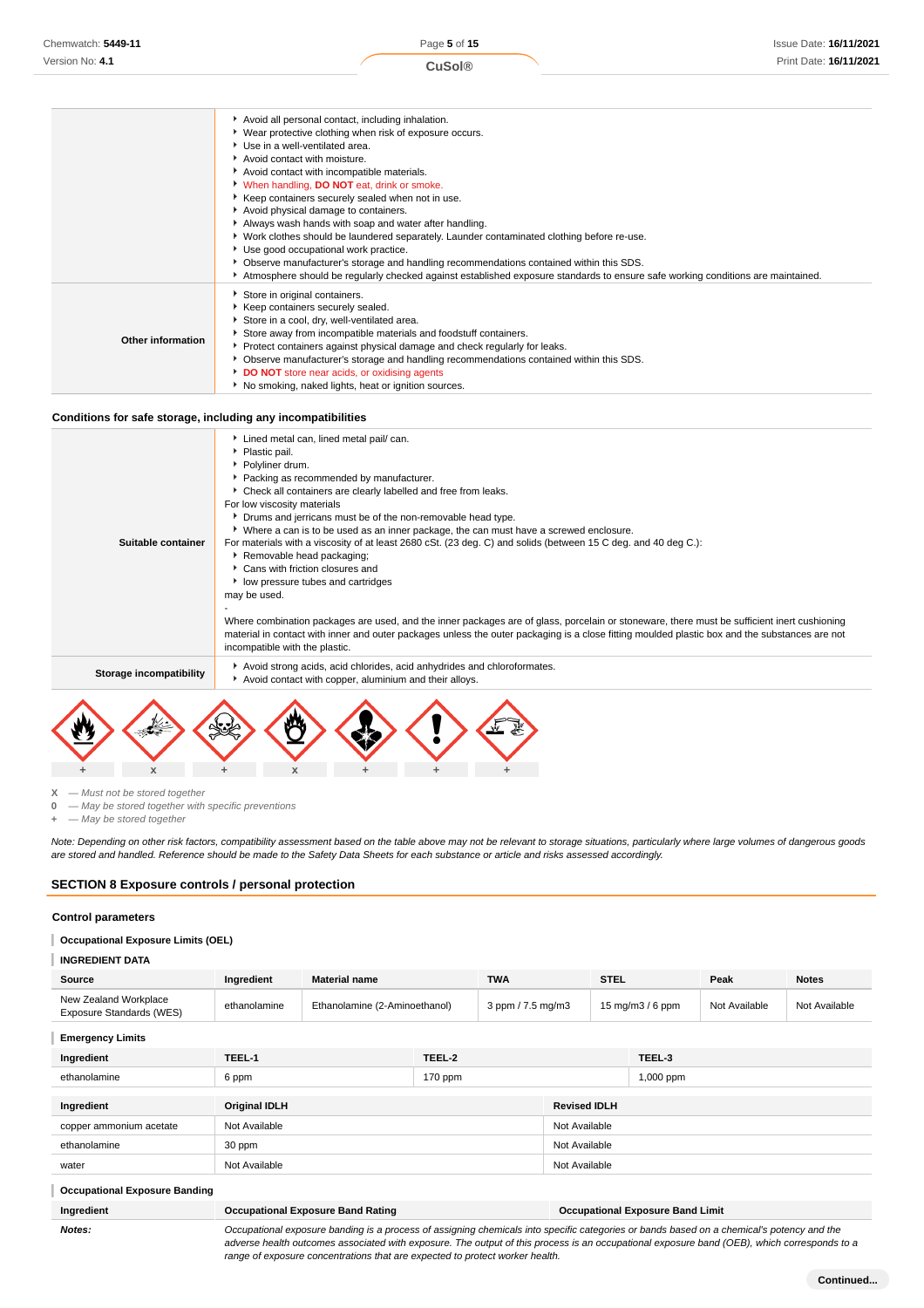|                   | Avoid all personal contact, including inhalation.                                                                               |
|-------------------|---------------------------------------------------------------------------------------------------------------------------------|
|                   | ▶ Wear protective clothing when risk of exposure occurs.                                                                        |
|                   | ▶ Use in a well-ventilated area.                                                                                                |
|                   | Avoid contact with moisture.                                                                                                    |
|                   | Avoid contact with incompatible materials.                                                                                      |
|                   | V When handling, <b>DO NOT</b> eat, drink or smoke.                                                                             |
|                   | Keep containers securely sealed when not in use.                                                                                |
|                   | Avoid physical damage to containers.                                                                                            |
|                   | Always wash hands with soap and water after handling.                                                                           |
|                   | ▶ Work clothes should be laundered separately. Launder contaminated clothing before re-use.                                     |
|                   | ▶ Use good occupational work practice.                                                                                          |
|                   | • Observe manufacturer's storage and handling recommendations contained within this SDS.                                        |
|                   | Atmosphere should be regularly checked against established exposure standards to ensure safe working conditions are maintained. |
|                   | Store in original containers.                                                                                                   |
| Other information | Keep containers securely sealed.                                                                                                |
|                   | Store in a cool, dry, well-ventilated area.                                                                                     |
|                   | Store away from incompatible materials and foodstuff containers.                                                                |
|                   | ▶ Protect containers against physical damage and check regularly for leaks.                                                     |
|                   | • Observe manufacturer's storage and handling recommendations contained within this SDS.                                        |
|                   | DO NOT store near acids, or oxidising agents                                                                                    |
|                   | No smoking, naked lights, heat or ignition sources.                                                                             |
|                   |                                                                                                                                 |

#### **Conditions for safe storage, including any incompatibilities**

| Suitable container      | • Plastic pail.<br>▶ Polyliner drum.<br>Packing as recommended by manufacturer.<br>• Check all containers are clearly labelled and free from leaks.<br>For low viscosity materials<br>Drums and jerricans must be of the non-removable head type.<br>▶ Where a can is to be used as an inner package, the can must have a screwed enclosure.<br>For materials with a viscosity of at least 2680 cSt. (23 deg. C) and solids (between 15 C deg. and 40 deg C.):<br>Removable head packaging;<br>▶ Cans with friction closures and<br>low pressure tubes and cartridges<br>may be used.<br>Where combination packages are used, and the inner packages are of glass, porcelain or stoneware, there must be sufficient inert cushioning |
|-------------------------|--------------------------------------------------------------------------------------------------------------------------------------------------------------------------------------------------------------------------------------------------------------------------------------------------------------------------------------------------------------------------------------------------------------------------------------------------------------------------------------------------------------------------------------------------------------------------------------------------------------------------------------------------------------------------------------------------------------------------------------|
|                         | material in contact with inner and outer packages unless the outer packaging is a close fitting moulded plastic box and the substances are not<br>incompatible with the plastic.                                                                                                                                                                                                                                                                                                                                                                                                                                                                                                                                                     |
| Storage incompatibility | Avoid strong acids, acid chlorides, acid anhydrides and chloroformates.<br>Avoid contact with copper, aluminium and their alloys.                                                                                                                                                                                                                                                                                                                                                                                                                                                                                                                                                                                                    |



**X** — Must not be stored together<br>**0** — May be stored together with

**0** — May be stored together with specific preventions

**+** — May be stored together

Note: Depending on other risk factors, compatibility assessment based on the table above may not be relevant to storage situations, particularly where large volumes of dangerous goods are stored and handled. Reference should be made to the Safety Data Sheets for each substance or article and risks assessed accordingly.

## **SECTION 8 Exposure controls / personal protection**

#### **Control parameters**

# **Occupational Exposure Limits (OEL)**

| <b>INGREDIENT DATA</b> |  |
|------------------------|--|
|------------------------|--|

| Source                                            | Ingredient   | <b>Material name</b>          | <b>TWA</b>        | <b>STEL</b>                         | Peak          | <b>Notes</b>  |
|---------------------------------------------------|--------------|-------------------------------|-------------------|-------------------------------------|---------------|---------------|
| New Zealand Workplace<br>Exposure Standards (WES) | ethanolamine | Ethanolamine (2-Aminoethanol) | 3 ppm / 7.5 mg/m3 | $15 \text{ ma/m}$ $3/6 \text{ ppm}$ | Not Available | Not Available |

**Emergency Limits**

| Ingredient              | TEEL-1               | TEEL-2 |                     | TEEL-3    |
|-------------------------|----------------------|--------|---------------------|-----------|
| ethanolamine            | $170$ ppm<br>6 ppm   |        |                     | 1,000 ppm |
|                         |                      |        |                     |           |
| Ingredient              | <b>Original IDLH</b> |        | <b>Revised IDLH</b> |           |
| copper ammonium acetate | Not Available        |        | Not Available       |           |
| ethanolamine            | 30 ppm               |        | Not Available       |           |
| water                   | Not Available        |        | Not Available       |           |

#### **Occupational Exposure Banding** I

| Ingredient | Occupational Exposure Band Rating | <b>Occupational Exposure Band Limit</b> |
|------------|-----------------------------------|-----------------------------------------|
|            |                                   |                                         |

**Notes:** Occupational exposure banding is a process of assigning chemicals into specific categories or bands based on a chemical's potency and the adverse health outcomes associated with exposure. The output of this process is an occupational exposure band (OEB), which corresponds to a range of exposure concentrations that are expected to protect worker health.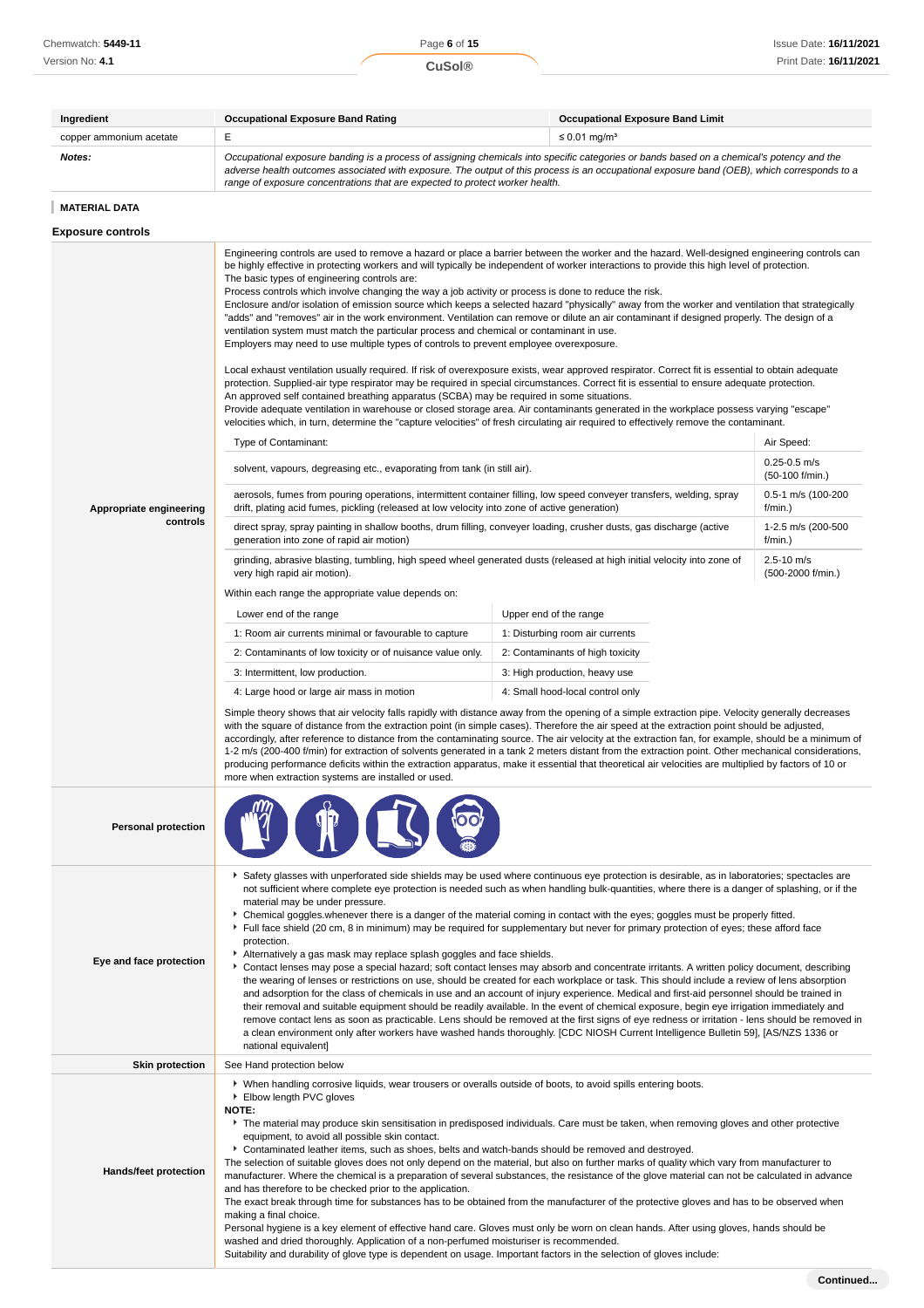| Ingredient                 | <b>Occupational Exposure Band Rating</b>                                                                                                                                                                                                                                                                                                                                                                                                                                                                                                                                                                                                                                                                                                                                                                                                                                                                                                                                                                                                                                                                                                                                                                                                                                                                                                                                                                                                                                                                                                                                                                                                                                                                                                                                                                                                                                                                                                                                                                                                                      | <b>Occupational Exposure Band Limit</b> |  |  |  |  |
|----------------------------|---------------------------------------------------------------------------------------------------------------------------------------------------------------------------------------------------------------------------------------------------------------------------------------------------------------------------------------------------------------------------------------------------------------------------------------------------------------------------------------------------------------------------------------------------------------------------------------------------------------------------------------------------------------------------------------------------------------------------------------------------------------------------------------------------------------------------------------------------------------------------------------------------------------------------------------------------------------------------------------------------------------------------------------------------------------------------------------------------------------------------------------------------------------------------------------------------------------------------------------------------------------------------------------------------------------------------------------------------------------------------------------------------------------------------------------------------------------------------------------------------------------------------------------------------------------------------------------------------------------------------------------------------------------------------------------------------------------------------------------------------------------------------------------------------------------------------------------------------------------------------------------------------------------------------------------------------------------------------------------------------------------------------------------------------------------|-----------------------------------------|--|--|--|--|
| copper ammonium acetate    | E                                                                                                                                                                                                                                                                                                                                                                                                                                                                                                                                                                                                                                                                                                                                                                                                                                                                                                                                                                                                                                                                                                                                                                                                                                                                                                                                                                                                                                                                                                                                                                                                                                                                                                                                                                                                                                                                                                                                                                                                                                                             | $\leq$ 0.01 mg/m <sup>3</sup>           |  |  |  |  |
| Notes:                     | Occupational exposure banding is a process of assigning chemicals into specific categories or bands based on a chemical's potency and the<br>adverse health outcomes associated with exposure. The output of this process is an occupational exposure band (OEB), which corresponds to a<br>range of exposure concentrations that are expected to protect worker health.                                                                                                                                                                                                                                                                                                                                                                                                                                                                                                                                                                                                                                                                                                                                                                                                                                                                                                                                                                                                                                                                                                                                                                                                                                                                                                                                                                                                                                                                                                                                                                                                                                                                                      |                                         |  |  |  |  |
| <b>MATERIAL DATA</b>       |                                                                                                                                                                                                                                                                                                                                                                                                                                                                                                                                                                                                                                                                                                                                                                                                                                                                                                                                                                                                                                                                                                                                                                                                                                                                                                                                                                                                                                                                                                                                                                                                                                                                                                                                                                                                                                                                                                                                                                                                                                                               |                                         |  |  |  |  |
| <b>Exposure controls</b>   |                                                                                                                                                                                                                                                                                                                                                                                                                                                                                                                                                                                                                                                                                                                                                                                                                                                                                                                                                                                                                                                                                                                                                                                                                                                                                                                                                                                                                                                                                                                                                                                                                                                                                                                                                                                                                                                                                                                                                                                                                                                               |                                         |  |  |  |  |
| Appropriate engineering    | Engineering controls are used to remove a hazard or place a barrier between the worker and the hazard. Well-designed engineering controls can<br>be highly effective in protecting workers and will typically be independent of worker interactions to provide this high level of protection.<br>The basic types of engineering controls are:<br>Process controls which involve changing the way a job activity or process is done to reduce the risk.<br>Enclosure and/or isolation of emission source which keeps a selected hazard "physically" away from the worker and ventilation that strategically<br>"adds" and "removes" air in the work environment. Ventilation can remove or dilute an air contaminant if designed properly. The design of a<br>ventilation system must match the particular process and chemical or contaminant in use.<br>Employers may need to use multiple types of controls to prevent employee overexposure.<br>Local exhaust ventilation usually required. If risk of overexposure exists, wear approved respirator. Correct fit is essential to obtain adequate<br>protection. Supplied-air type respirator may be required in special circumstances. Correct fit is essential to ensure adequate protection.<br>An approved self contained breathing apparatus (SCBA) may be required in some situations.<br>Provide adequate ventilation in warehouse or closed storage area. Air contaminants generated in the workplace possess varying "escape"<br>velocities which, in turn, determine the "capture velocities" of fresh circulating air required to effectively remove the contaminant.<br>Air Speed:<br>Type of Contaminant:<br>$0.25 - 0.5$ m/s<br>solvent, vapours, degreasing etc., evaporating from tank (in still air).<br>$(50-100)$ f/min.)<br>aerosols, fumes from pouring operations, intermittent container filling, low speed conveyer transfers, welding, spray<br>0.5-1 m/s (100-200<br>drift, plating acid fumes, pickling (released at low velocity into zone of active generation)<br>$f/min.$ ) |                                         |  |  |  |  |
| controls                   | direct spray, spray painting in shallow booths, drum filling, conveyer loading, crusher dusts, gas discharge (active<br>generation into zone of rapid air motion)                                                                                                                                                                                                                                                                                                                                                                                                                                                                                                                                                                                                                                                                                                                                                                                                                                                                                                                                                                                                                                                                                                                                                                                                                                                                                                                                                                                                                                                                                                                                                                                                                                                                                                                                                                                                                                                                                             | 1-2.5 m/s (200-500<br>$f/min.$ )        |  |  |  |  |
|                            | grinding, abrasive blasting, tumbling, high speed wheel generated dusts (released at high initial velocity into zone of                                                                                                                                                                                                                                                                                                                                                                                                                                                                                                                                                                                                                                                                                                                                                                                                                                                                                                                                                                                                                                                                                                                                                                                                                                                                                                                                                                                                                                                                                                                                                                                                                                                                                                                                                                                                                                                                                                                                       | $2.5 - 10$ m/s<br>(500-2000 f/min.)     |  |  |  |  |
|                            | Within each range the appropriate value depends on:                                                                                                                                                                                                                                                                                                                                                                                                                                                                                                                                                                                                                                                                                                                                                                                                                                                                                                                                                                                                                                                                                                                                                                                                                                                                                                                                                                                                                                                                                                                                                                                                                                                                                                                                                                                                                                                                                                                                                                                                           |                                         |  |  |  |  |
|                            | Lower end of the range                                                                                                                                                                                                                                                                                                                                                                                                                                                                                                                                                                                                                                                                                                                                                                                                                                                                                                                                                                                                                                                                                                                                                                                                                                                                                                                                                                                                                                                                                                                                                                                                                                                                                                                                                                                                                                                                                                                                                                                                                                        | Upper end of the range                  |  |  |  |  |
|                            | 1: Room air currents minimal or favourable to capture                                                                                                                                                                                                                                                                                                                                                                                                                                                                                                                                                                                                                                                                                                                                                                                                                                                                                                                                                                                                                                                                                                                                                                                                                                                                                                                                                                                                                                                                                                                                                                                                                                                                                                                                                                                                                                                                                                                                                                                                         | 1: Disturbing room air currents         |  |  |  |  |
|                            | 2: Contaminants of low toxicity or of nuisance value only.                                                                                                                                                                                                                                                                                                                                                                                                                                                                                                                                                                                                                                                                                                                                                                                                                                                                                                                                                                                                                                                                                                                                                                                                                                                                                                                                                                                                                                                                                                                                                                                                                                                                                                                                                                                                                                                                                                                                                                                                    | 2: Contaminants of high toxicity        |  |  |  |  |
|                            | 3: Intermittent, low production.                                                                                                                                                                                                                                                                                                                                                                                                                                                                                                                                                                                                                                                                                                                                                                                                                                                                                                                                                                                                                                                                                                                                                                                                                                                                                                                                                                                                                                                                                                                                                                                                                                                                                                                                                                                                                                                                                                                                                                                                                              | 3: High production, heavy use           |  |  |  |  |
|                            | Simple theory shows that air velocity falls rapidly with distance away from the opening of a simple extraction pipe. Velocity generally decreases<br>with the square of distance from the extraction point (in simple cases). Therefore the air speed at the extraction point should be adjusted,<br>accordingly, after reference to distance from the contaminating source. The air velocity at the extraction fan, for example, should be a minimum of<br>1-2 m/s (200-400 f/min) for extraction of solvents generated in a tank 2 meters distant from the extraction point. Other mechanical considerations,<br>producing performance deficits within the extraction apparatus, make it essential that theoretical air velocities are multiplied by factors of 10 or<br>more when extraction systems are installed or used.                                                                                                                                                                                                                                                                                                                                                                                                                                                                                                                                                                                                                                                                                                                                                                                                                                                                                                                                                                                                                                                                                                                                                                                                                                |                                         |  |  |  |  |
| <b>Personal protection</b> |                                                                                                                                                                                                                                                                                                                                                                                                                                                                                                                                                                                                                                                                                                                                                                                                                                                                                                                                                                                                                                                                                                                                                                                                                                                                                                                                                                                                                                                                                                                                                                                                                                                                                                                                                                                                                                                                                                                                                                                                                                                               |                                         |  |  |  |  |
| Eye and face protection    | Safety glasses with unperforated side shields may be used where continuous eye protection is desirable, as in laboratories; spectacles are<br>not sufficient where complete eye protection is needed such as when handling bulk-quantities, where there is a danger of splashing, or if the<br>material may be under pressure.<br>▶ Chemical goggles whenever there is a danger of the material coming in contact with the eyes; goggles must be properly fitted.<br>Full face shield (20 cm, 8 in minimum) may be required for supplementary but never for primary protection of eyes; these afford face<br>protection.<br>Alternatively a gas mask may replace splash goggles and face shields.<br>Contact lenses may pose a special hazard; soft contact lenses may absorb and concentrate irritants. A written policy document, describing<br>the wearing of lenses or restrictions on use, should be created for each workplace or task. This should include a review of lens absorption<br>and adsorption for the class of chemicals in use and an account of injury experience. Medical and first-aid personnel should be trained in<br>their removal and suitable equipment should be readily available. In the event of chemical exposure, begin eye irrigation immediately and<br>remove contact lens as soon as practicable. Lens should be removed at the first signs of eye redness or irritation - lens should be removed in<br>a clean environment only after workers have washed hands thoroughly. [CDC NIOSH Current Intelligence Bulletin 59], [AS/NZS 1336 or<br>national equivalent]                                                                                                                                                                                                                                                                                                                                                                                                                                                      |                                         |  |  |  |  |
| <b>Skin protection</b>     | See Hand protection below                                                                                                                                                                                                                                                                                                                                                                                                                                                                                                                                                                                                                                                                                                                                                                                                                                                                                                                                                                                                                                                                                                                                                                                                                                                                                                                                                                                                                                                                                                                                                                                                                                                                                                                                                                                                                                                                                                                                                                                                                                     |                                         |  |  |  |  |
| Hands/feet protection      | ▶ When handling corrosive liquids, wear trousers or overalls outside of boots, to avoid spills entering boots.<br>Elbow length PVC gloves<br>NOTE:<br>The material may produce skin sensitisation in predisposed individuals. Care must be taken, when removing gloves and other protective<br>equipment, to avoid all possible skin contact.<br>► Contaminated leather items, such as shoes, belts and watch-bands should be removed and destroyed.<br>The selection of suitable gloves does not only depend on the material, but also on further marks of quality which vary from manufacturer to<br>manufacturer. Where the chemical is a preparation of several substances, the resistance of the glove material can not be calculated in advance<br>and has therefore to be checked prior to the application.<br>The exact break through time for substances has to be obtained from the manufacturer of the protective gloves and has to be observed when<br>making a final choice.<br>Personal hygiene is a key element of effective hand care. Gloves must only be worn on clean hands. After using gloves, hands should be<br>washed and dried thoroughly. Application of a non-perfumed moisturiser is recommended.<br>Suitability and durability of glove type is dependent on usage. Important factors in the selection of gloves include:                                                                                                                                                                                                                                                                                                                                                                                                                                                                                                                                                                                                                                                                                                        |                                         |  |  |  |  |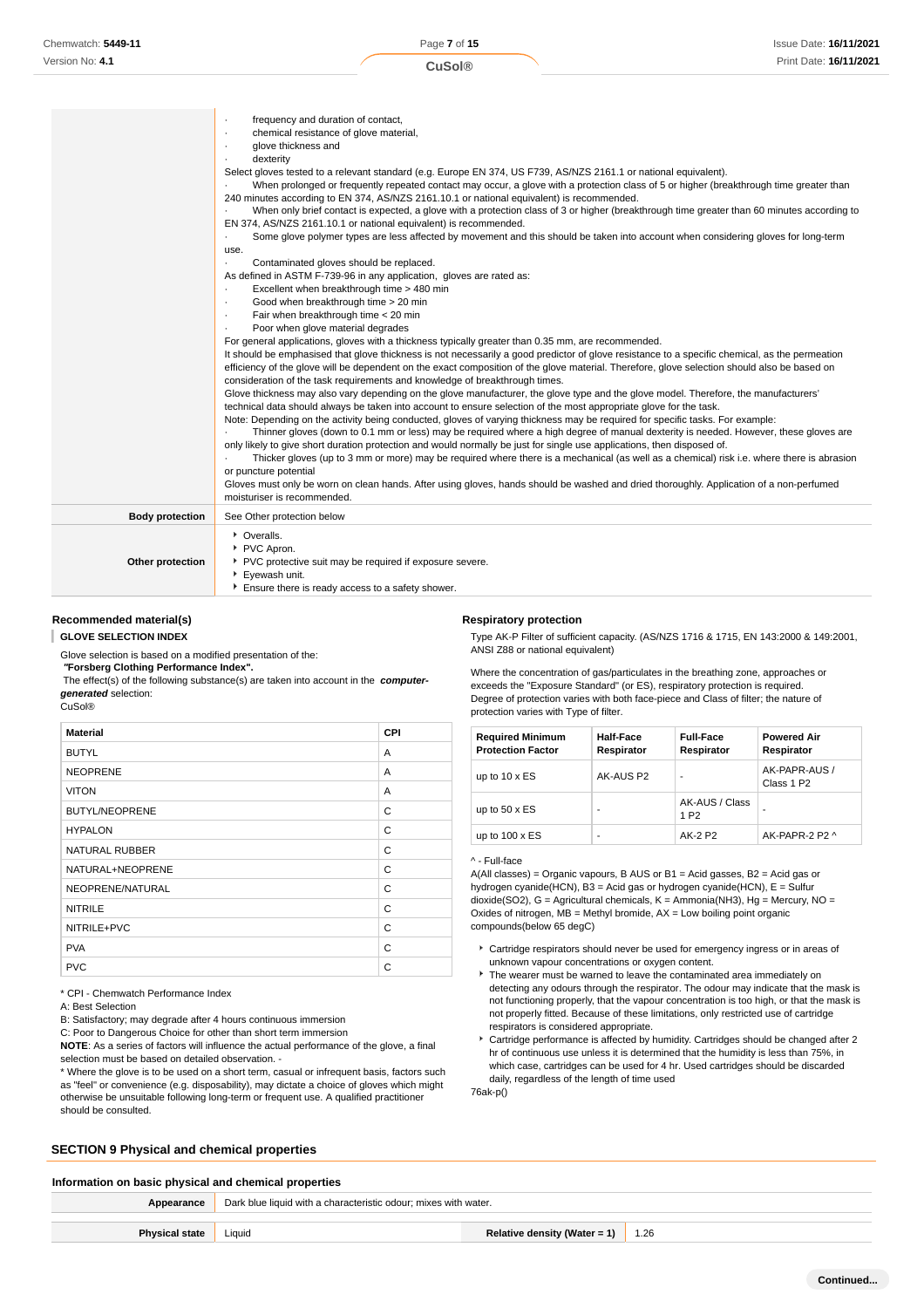|                        | frequency and duration of contact,<br>$\cdot$<br>chemical resistance of glove material,<br>$\cdot$<br>glove thickness and<br>$\cdot$<br>dexterity<br>$\cdot$<br>Select gloves tested to a relevant standard (e.g. Europe EN 374, US F739, AS/NZS 2161.1 or national equivalent).<br>When prolonged or frequently repeated contact may occur, a glove with a protection class of 5 or higher (breakthrough time greater than<br>240 minutes according to EN 374, AS/NZS 2161.10.1 or national equivalent) is recommended.<br>When only brief contact is expected, a glove with a protection class of 3 or higher (breakthrough time greater than 60 minutes according to<br>$\cdot$<br>EN 374, AS/NZS 2161.10.1 or national equivalent) is recommended.<br>Some glove polymer types are less affected by movement and this should be taken into account when considering gloves for long-term<br>use.<br>Contaminated gloves should be replaced.<br>$\cdot$<br>As defined in ASTM F-739-96 in any application, gloves are rated as:<br>Excellent when breakthrough time > 480 min<br>$\cdot$<br>Good when breakthrough time > 20 min<br>$\bullet$<br>Fair when breakthrough time < 20 min<br>$\bullet$<br>Poor when glove material degrades<br>$\bullet$<br>For general applications, gloves with a thickness typically greater than 0.35 mm, are recommended.<br>It should be emphasised that glove thickness is not necessarily a good predictor of glove resistance to a specific chemical, as the permeation<br>efficiency of the glove will be dependent on the exact composition of the glove material. Therefore, glove selection should also be based on<br>consideration of the task requirements and knowledge of breakthrough times.<br>Glove thickness may also vary depending on the glove manufacturer, the glove type and the glove model. Therefore, the manufacturers'<br>technical data should always be taken into account to ensure selection of the most appropriate glove for the task.<br>Note: Depending on the activity being conducted, gloves of varying thickness may be required for specific tasks. For example:<br>Thinner gloves (down to 0.1 mm or less) may be required where a high degree of manual dexterity is needed. However, these gloves are<br>only likely to give short duration protection and would normally be just for single use applications, then disposed of.<br>Thicker gloves (up to 3 mm or more) may be required where there is a mechanical (as well as a chemical) risk i.e. where there is abrasion<br>or puncture potential<br>Gloves must only be worn on clean hands. After using gloves, hands should be washed and dried thoroughly. Application of a non-perfumed<br>moisturiser is recommended. |
|------------------------|------------------------------------------------------------------------------------------------------------------------------------------------------------------------------------------------------------------------------------------------------------------------------------------------------------------------------------------------------------------------------------------------------------------------------------------------------------------------------------------------------------------------------------------------------------------------------------------------------------------------------------------------------------------------------------------------------------------------------------------------------------------------------------------------------------------------------------------------------------------------------------------------------------------------------------------------------------------------------------------------------------------------------------------------------------------------------------------------------------------------------------------------------------------------------------------------------------------------------------------------------------------------------------------------------------------------------------------------------------------------------------------------------------------------------------------------------------------------------------------------------------------------------------------------------------------------------------------------------------------------------------------------------------------------------------------------------------------------------------------------------------------------------------------------------------------------------------------------------------------------------------------------------------------------------------------------------------------------------------------------------------------------------------------------------------------------------------------------------------------------------------------------------------------------------------------------------------------------------------------------------------------------------------------------------------------------------------------------------------------------------------------------------------------------------------------------------------------------------------------------------------------------------------------------------------------------------------------------------------------------------------------------------------------------------------------------------------------------------------------------------------------|
| <b>Body protection</b> | See Other protection below                                                                                                                                                                                                                                                                                                                                                                                                                                                                                                                                                                                                                                                                                                                                                                                                                                                                                                                                                                                                                                                                                                                                                                                                                                                                                                                                                                                                                                                                                                                                                                                                                                                                                                                                                                                                                                                                                                                                                                                                                                                                                                                                                                                                                                                                                                                                                                                                                                                                                                                                                                                                                                                                                                                                       |
| Other protection       | • Overalls.<br>PVC Apron.<br>PVC protective suit may be required if exposure severe.<br>Eyewash unit.<br>Ensure there is ready access to a safety shower.                                                                                                                                                                                                                                                                                                                                                                                                                                                                                                                                                                                                                                                                                                                                                                                                                                                                                                                                                                                                                                                                                                                                                                                                                                                                                                                                                                                                                                                                                                                                                                                                                                                                                                                                                                                                                                                                                                                                                                                                                                                                                                                                                                                                                                                                                                                                                                                                                                                                                                                                                                                                        |

# **Recommended material(s)**

**GLOVE SELECTION INDEX**

Glove selection is based on a modified presentation of the:

 **"Forsberg Clothing Performance Index".**

 The effect(s) of the following substance(s) are taken into account in the **computergenerated** selection: CuSol®

| <b>Material</b>       | <b>CPI</b> |
|-----------------------|------------|
| <b>BUTYL</b>          | A          |
| <b>NEOPRENE</b>       | A          |
| <b>VITON</b>          | A          |
| <b>BUTYL/NEOPRENE</b> | C          |
| <b>HYPALON</b>        | C          |
| <b>NATURAL RUBBER</b> | C          |
| NATURAL+NEOPRENE      | C          |
| NEOPRENE/NATURAL      | C          |
| <b>NITRILE</b>        | C          |
| NITRILE+PVC           | C          |
| <b>PVA</b>            | C          |
| <b>PVC</b>            | C          |

\* CPI - Chemwatch Performance Index

A: Best Selection

B: Satisfactory; may degrade after 4 hours continuous immersion

C: Poor to Dangerous Choice for other than short term immersion **NOTE**: As a series of factors will influence the actual performance of the glove, a final

selection must be based on detailed observation. -

\* Where the glove is to be used on a short term, casual or infrequent basis, factors such as "feel" or convenience (e.g. disposability), may dictate a choice of gloves which might otherwise be unsuitable following long-term or frequent use. A qualified practitioner should be consulted.

## **SECTION 9 Physical and chemical properties**

exceeds the "Exposure Standard" (or ES), respiratory protection is required. Degree of protection varies with both face-piece and Class of filter; the nature of protection varies with Type of filter. **Required Minimum Half-Face Full-Face Powered Air**

Where the concentration of gas/particulates in the breathing zone, approaches or

Type AK-P Filter of sufficient capacity. (AS/NZS 1716 & 1715, EN 143:2000 & 149:2001,

| noqun ou minimum<br><b>Protection Factor</b> | .<br>Respirator | .<br>Respirator                    | Respirator                              |
|----------------------------------------------|-----------------|------------------------------------|-----------------------------------------|
| up to $10 \times ES$                         | AK-AUS P2       | $\overline{\phantom{a}}$           | AK-PAPR-AUS /<br>Class 1 P <sub>2</sub> |
| up to $50 \times ES$                         | ۰               | AK-AUS / Class<br>1 P <sub>2</sub> |                                         |
| up to $100 \times ES$                        | ۰               | AK-2 P2                            | AK-PAPR-2 P2 ^                          |

#### ^ - Full-face

**Respiratory protection**

ANSI Z88 or national equivalent)

A(All classes) = Organic vapours, B AUS or B1 = Acid gasses, B2 = Acid gas or hydrogen cyanide(HCN), B3 = Acid gas or hydrogen cyanide(HCN), E = Sulfur dioxide(SO2), G = Agricultural chemicals, K = Ammonia(NH3), Hg = Mercury, NO = Oxides of nitrogen,  $MB =$  Methyl bromide,  $AX =$  Low boiling point organic compounds(below 65 degC)

- Cartridge respirators should never be used for emergency ingress or in areas of unknown vapour concentrations or oxygen content.
- ► The wearer must be warned to leave the contaminated area immediately on detecting any odours through the respirator. The odour may indicate that the mask is not functioning properly, that the vapour concentration is too high, or that the mask is not properly fitted. Because of these limitations, only restricted use of cartridge respirators is considered appropriate.
- Cartridge performance is affected by humidity. Cartridges should be changed after 2 hr of continuous use unless it is determined that the humidity is less than 75%, in which case, cartridges can be used for 4 hr. Used cartridges should be discarded daily, regardless of the length of time used

76ak-p()

# **Information on basic physical and chemical properties Appearance** Dark blue liquid with a characteristic odour; mixes with water. **Physical state** Liquid **Relative density (Water = 1)** 1.26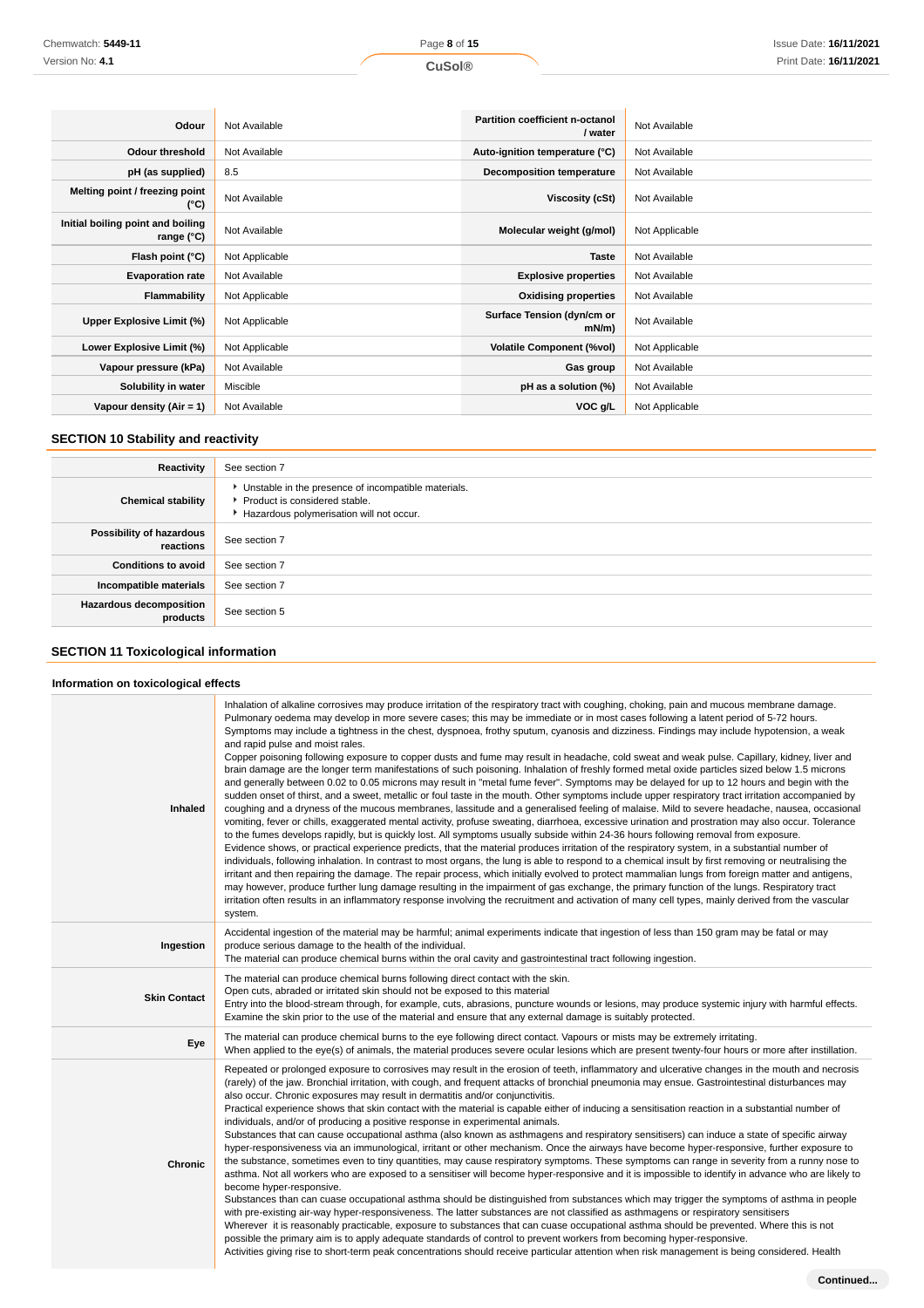| Odour                                           | Not Available  | <b>Partition coefficient n-octanol</b><br>/ water | Not Available  |
|-------------------------------------------------|----------------|---------------------------------------------------|----------------|
| <b>Odour threshold</b>                          | Not Available  | Auto-ignition temperature (°C)                    | Not Available  |
| pH (as supplied)                                | 8.5            | Decomposition temperature                         | Not Available  |
| Melting point / freezing point<br>(°C)          | Not Available  | Viscosity (cSt)                                   | Not Available  |
| Initial boiling point and boiling<br>range (°C) | Not Available  | Molecular weight (g/mol)                          | Not Applicable |
| Flash point (°C)                                | Not Applicable | <b>Taste</b>                                      | Not Available  |
| <b>Evaporation rate</b>                         | Not Available  | <b>Explosive properties</b>                       | Not Available  |
| <b>Flammability</b>                             | Not Applicable | <b>Oxidising properties</b>                       | Not Available  |
| Upper Explosive Limit (%)                       | Not Applicable | Surface Tension (dyn/cm or<br>$mN/m$ )            | Not Available  |
| Lower Explosive Limit (%)                       | Not Applicable | <b>Volatile Component (%vol)</b>                  | Not Applicable |
| Vapour pressure (kPa)                           | Not Available  | Gas group                                         | Not Available  |
| Solubility in water                             | Miscible       | pH as a solution (%)                              | Not Available  |
| Vapour density $(Air = 1)$                      | Not Available  | VOC g/L                                           | Not Applicable |

# **SECTION 10 Stability and reactivity**

| Reactivity                                 | See section 7                                                                                                                        |  |
|--------------------------------------------|--------------------------------------------------------------------------------------------------------------------------------------|--|
| <b>Chemical stability</b>                  | • Unstable in the presence of incompatible materials.<br>▶ Product is considered stable.<br>Hazardous polymerisation will not occur. |  |
| Possibility of hazardous<br>reactions      | See section 7                                                                                                                        |  |
| <b>Conditions to avoid</b>                 | See section 7                                                                                                                        |  |
| Incompatible materials                     | See section 7                                                                                                                        |  |
| <b>Hazardous decomposition</b><br>products | See section 5                                                                                                                        |  |

# **SECTION 11 Toxicological information**

# **Information on toxicological effects**

| Inhaled             | Inhalation of alkaline corrosives may produce irritation of the respiratory tract with coughing, choking, pain and mucous membrane damage.<br>Pulmonary oedema may develop in more severe cases; this may be immediate or in most cases following a latent period of 5-72 hours.<br>Symptoms may include a tightness in the chest, dyspnoea, frothy sputum, cyanosis and dizziness. Findings may include hypotension, a weak<br>and rapid pulse and moist rales.<br>Copper poisoning following exposure to copper dusts and fume may result in headache, cold sweat and weak pulse. Capillary, kidney, liver and<br>brain damage are the longer term manifestations of such poisoning. Inhalation of freshly formed metal oxide particles sized below 1.5 microns<br>and generally between 0.02 to 0.05 microns may result in "metal fume fever". Symptoms may be delayed for up to 12 hours and begin with the<br>sudden onset of thirst, and a sweet, metallic or foul taste in the mouth. Other symptoms include upper respiratory tract irritation accompanied by<br>coughing and a dryness of the mucous membranes, lassitude and a generalised feeling of malaise. Mild to severe headache, nausea, occasional<br>vomiting, fever or chills, exaggerated mental activity, profuse sweating, diarrhoea, excessive urination and prostration may also occur. Tolerance<br>to the fumes develops rapidly, but is quickly lost. All symptoms usually subside within 24-36 hours following removal from exposure.<br>Evidence shows, or practical experience predicts, that the material produces irritation of the respiratory system, in a substantial number of<br>individuals, following inhalation. In contrast to most organs, the lung is able to respond to a chemical insult by first removing or neutralising the<br>irritant and then repairing the damage. The repair process, which initially evolved to protect mammalian lungs from foreign matter and antigens,<br>may however, produce further lung damage resulting in the impairment of gas exchange, the primary function of the lungs. Respiratory tract<br>irritation often results in an inflammatory response involving the recruitment and activation of many cell types, mainly derived from the vascular<br>system. |
|---------------------|-------------------------------------------------------------------------------------------------------------------------------------------------------------------------------------------------------------------------------------------------------------------------------------------------------------------------------------------------------------------------------------------------------------------------------------------------------------------------------------------------------------------------------------------------------------------------------------------------------------------------------------------------------------------------------------------------------------------------------------------------------------------------------------------------------------------------------------------------------------------------------------------------------------------------------------------------------------------------------------------------------------------------------------------------------------------------------------------------------------------------------------------------------------------------------------------------------------------------------------------------------------------------------------------------------------------------------------------------------------------------------------------------------------------------------------------------------------------------------------------------------------------------------------------------------------------------------------------------------------------------------------------------------------------------------------------------------------------------------------------------------------------------------------------------------------------------------------------------------------------------------------------------------------------------------------------------------------------------------------------------------------------------------------------------------------------------------------------------------------------------------------------------------------------------------------------------------------------------------------------------------------------------------------------------|
| Ingestion           | Accidental ingestion of the material may be harmful; animal experiments indicate that ingestion of less than 150 gram may be fatal or may<br>produce serious damage to the health of the individual.<br>The material can produce chemical burns within the oral cavity and gastrointestinal tract following ingestion.                                                                                                                                                                                                                                                                                                                                                                                                                                                                                                                                                                                                                                                                                                                                                                                                                                                                                                                                                                                                                                                                                                                                                                                                                                                                                                                                                                                                                                                                                                                                                                                                                                                                                                                                                                                                                                                                                                                                                                          |
| <b>Skin Contact</b> | The material can produce chemical burns following direct contact with the skin.<br>Open cuts, abraded or irritated skin should not be exposed to this material<br>Entry into the blood-stream through, for example, cuts, abrasions, puncture wounds or lesions, may produce systemic injury with harmful effects.<br>Examine the skin prior to the use of the material and ensure that any external damage is suitably protected.                                                                                                                                                                                                                                                                                                                                                                                                                                                                                                                                                                                                                                                                                                                                                                                                                                                                                                                                                                                                                                                                                                                                                                                                                                                                                                                                                                                                                                                                                                                                                                                                                                                                                                                                                                                                                                                              |
| Eye                 | The material can produce chemical burns to the eye following direct contact. Vapours or mists may be extremely irritating.<br>When applied to the eye(s) of animals, the material produces severe ocular lesions which are present twenty-four hours or more after instillation.                                                                                                                                                                                                                                                                                                                                                                                                                                                                                                                                                                                                                                                                                                                                                                                                                                                                                                                                                                                                                                                                                                                                                                                                                                                                                                                                                                                                                                                                                                                                                                                                                                                                                                                                                                                                                                                                                                                                                                                                                |
| <b>Chronic</b>      | Repeated or prolonged exposure to corrosives may result in the erosion of teeth, inflammatory and ulcerative changes in the mouth and necrosis<br>(rarely) of the jaw. Bronchial irritation, with cough, and frequent attacks of bronchial pneumonia may ensue. Gastrointestinal disturbances may<br>also occur. Chronic exposures may result in dermatitis and/or conjunctivitis.<br>Practical experience shows that skin contact with the material is capable either of inducing a sensitisation reaction in a substantial number of<br>individuals, and/or of producing a positive response in experimental animals.<br>Substances that can cause occupational asthma (also known as asthmagens and respiratory sensitisers) can induce a state of specific airway<br>hyper-responsiveness via an immunological, irritant or other mechanism. Once the airways have become hyper-responsive, further exposure to<br>the substance, sometimes even to tiny quantities, may cause respiratory symptoms. These symptoms can range in severity from a runny nose to<br>asthma. Not all workers who are exposed to a sensitiser will become hyper-responsive and it is impossible to identify in advance who are likely to<br>become hyper-responsive.<br>Substances than can cuase occupational asthma should be distinguished from substances which may trigger the symptoms of asthma in people<br>with pre-existing air-way hyper-responsiveness. The latter substances are not classified as asthmagens or respiratory sensitisers<br>Wherever it is reasonably practicable, exposure to substances that can cuase occupational asthma should be prevented. Where this is not<br>possible the primary aim is to apply adequate standards of control to prevent workers from becoming hyper-responsive.<br>Activities giving rise to short-term peak concentrations should receive particular attention when risk management is being considered. Health                                                                                                                                                                                                                                                                                                                                      |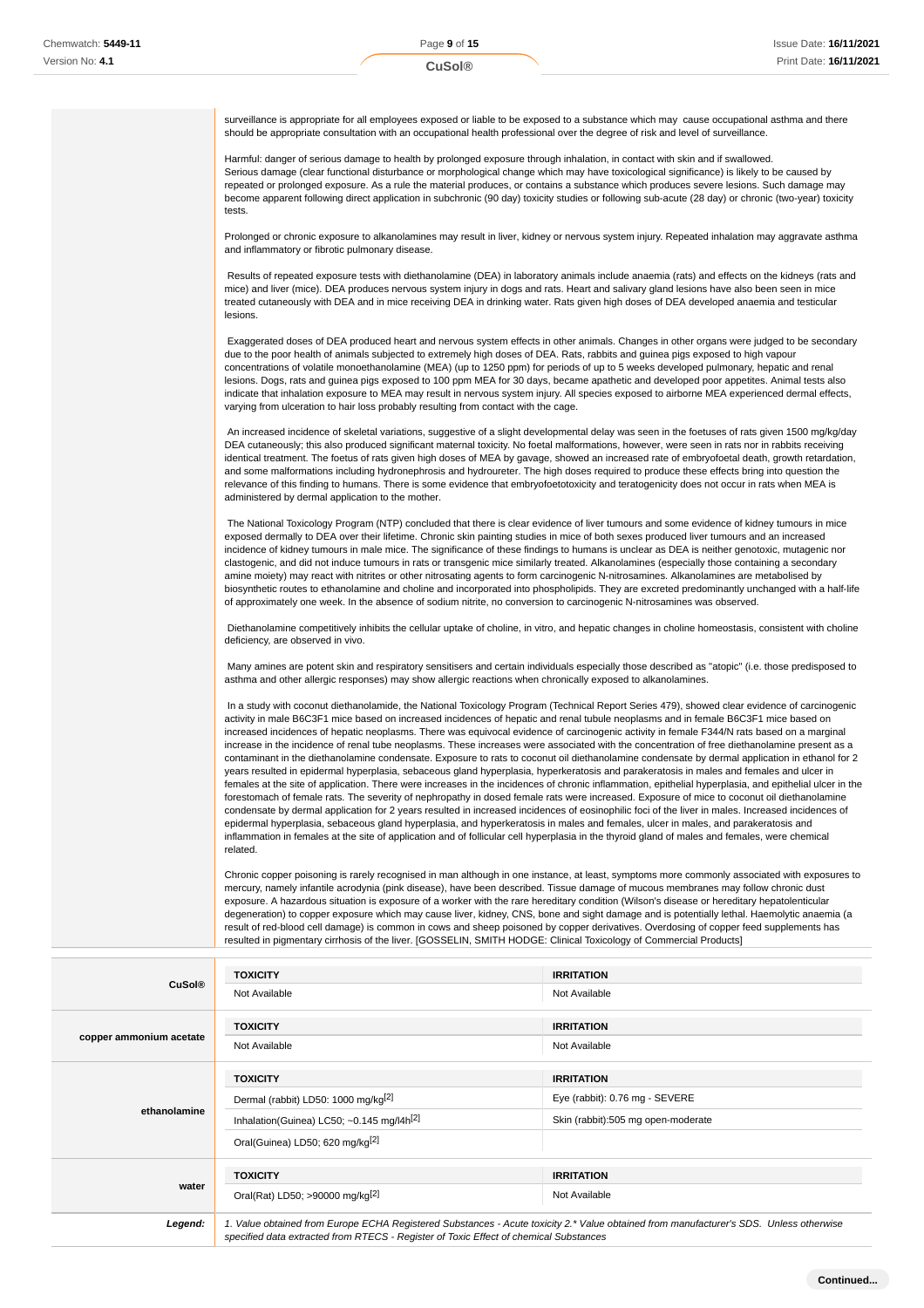| surveillance is appropriate for all employees exposed or liable to be exposed to a substance which may cause occupational asthma and there<br>should be appropriate consultation with an occupational health professional over the degree of risk and level of surveillance.                                                                                                                                                                                                                                                                                                                                                                                                                                                                                                                                                                                                                                                                                                                                                                                                                                                                                                                                                                                                                                                                                                                                                                                                             |                                                                                                                                                         |
|------------------------------------------------------------------------------------------------------------------------------------------------------------------------------------------------------------------------------------------------------------------------------------------------------------------------------------------------------------------------------------------------------------------------------------------------------------------------------------------------------------------------------------------------------------------------------------------------------------------------------------------------------------------------------------------------------------------------------------------------------------------------------------------------------------------------------------------------------------------------------------------------------------------------------------------------------------------------------------------------------------------------------------------------------------------------------------------------------------------------------------------------------------------------------------------------------------------------------------------------------------------------------------------------------------------------------------------------------------------------------------------------------------------------------------------------------------------------------------------|---------------------------------------------------------------------------------------------------------------------------------------------------------|
| Harmful: danger of serious damage to health by prolonged exposure through inhalation, in contact with skin and if swallowed.<br>Serious damage (clear functional disturbance or morphological change which may have toxicological significance) is likely to be caused by<br>repeated or prolonged exposure. As a rule the material produces, or contains a substance which produces severe lesions. Such damage may<br>become apparent following direct application in subchronic (90 day) toxicity studies or following sub-acute (28 day) or chronic (two-year) toxicity<br>tests.                                                                                                                                                                                                                                                                                                                                                                                                                                                                                                                                                                                                                                                                                                                                                                                                                                                                                                    |                                                                                                                                                         |
| Prolonged or chronic exposure to alkanolamines may result in liver, kidney or nervous system injury. Repeated inhalation may aggravate asthma<br>and inflammatory or fibrotic pulmonary disease.                                                                                                                                                                                                                                                                                                                                                                                                                                                                                                                                                                                                                                                                                                                                                                                                                                                                                                                                                                                                                                                                                                                                                                                                                                                                                         |                                                                                                                                                         |
| Results of repeated exposure tests with diethanolamine (DEA) in laboratory animals include anaemia (rats) and effects on the kidneys (rats and<br>mice) and liver (mice). DEA produces nervous system injury in dogs and rats. Heart and salivary gland lesions have also been seen in mice<br>treated cutaneously with DEA and in mice receiving DEA in drinking water. Rats given high doses of DEA developed anaemia and testicular<br>lesions.                                                                                                                                                                                                                                                                                                                                                                                                                                                                                                                                                                                                                                                                                                                                                                                                                                                                                                                                                                                                                                       |                                                                                                                                                         |
| Exaggerated doses of DEA produced heart and nervous system effects in other animals. Changes in other organs were judged to be secondary<br>due to the poor health of animals subjected to extremely high doses of DEA. Rats, rabbits and guinea pigs exposed to high vapour<br>concentrations of volatile monoethanolamine (MEA) (up to 1250 ppm) for periods of up to 5 weeks developed pulmonary, hepatic and renal<br>lesions. Dogs, rats and guinea pigs exposed to 100 ppm MEA for 30 days, became apathetic and developed poor appetites. Animal tests also<br>indicate that inhalation exposure to MEA may result in nervous system injury. All species exposed to airborne MEA experienced dermal effects,<br>varying from ulceration to hair loss probably resulting from contact with the cage.                                                                                                                                                                                                                                                                                                                                                                                                                                                                                                                                                                                                                                                                               |                                                                                                                                                         |
| An increased incidence of skeletal variations, suggestive of a slight developmental delay was seen in the foetuses of rats given 1500 mg/kg/day<br>DEA cutaneously; this also produced significant maternal toxicity. No foetal malformations, however, were seen in rats nor in rabbits receiving<br>identical treatment. The foetus of rats given high doses of MEA by gavage, showed an increased rate of embryofoetal death, growth retardation,<br>and some malformations including hydronephrosis and hydroureter. The high doses required to produce these effects bring into question the<br>relevance of this finding to humans. There is some evidence that embryofoetotoxicity and teratogenicity does not occur in rats when MEA is<br>administered by dermal application to the mother.                                                                                                                                                                                                                                                                                                                                                                                                                                                                                                                                                                                                                                                                                     |                                                                                                                                                         |
| The National Toxicology Program (NTP) concluded that there is clear evidence of liver tumours and some evidence of kidney tumours in mice<br>exposed dermally to DEA over their lifetime. Chronic skin painting studies in mice of both sexes produced liver tumours and an increased<br>incidence of kidney tumours in male mice. The significance of these findings to humans is unclear as DEA is neither genotoxic, mutagenic nor<br>clastogenic, and did not induce tumours in rats or transgenic mice similarly treated. Alkanolamines (especially those containing a secondary<br>amine moiety) may react with nitrites or other nitrosating agents to form carcinogenic N-nitrosamines. Alkanolamines are metabolised by<br>biosynthetic routes to ethanolamine and choline and incorporated into phospholipids. They are excreted predominantly unchanged with a half-life<br>of approximately one week. In the absence of sodium nitrite, no conversion to carcinogenic N-nitrosamines was observed.                                                                                                                                                                                                                                                                                                                                                                                                                                                                           |                                                                                                                                                         |
| Diethanolamine competitively inhibits the cellular uptake of choline, in vitro, and hepatic changes in choline homeostasis, consistent with choline<br>deficiency, are observed in vivo.                                                                                                                                                                                                                                                                                                                                                                                                                                                                                                                                                                                                                                                                                                                                                                                                                                                                                                                                                                                                                                                                                                                                                                                                                                                                                                 |                                                                                                                                                         |
| Many amines are potent skin and respiratory sensitisers and certain individuals especially those described as "atopic" (i.e. those predisposed to<br>asthma and other allergic responses) may show allergic reactions when chronically exposed to alkanolamines.                                                                                                                                                                                                                                                                                                                                                                                                                                                                                                                                                                                                                                                                                                                                                                                                                                                                                                                                                                                                                                                                                                                                                                                                                         |                                                                                                                                                         |
| In a study with coconut diethanolamide, the National Toxicology Program (Technical Report Series 479), showed clear evidence of carcinogenic<br>activity in male B6C3F1 mice based on increased incidences of hepatic and renal tubule neoplasms and in female B6C3F1 mice based on<br>increased incidences of hepatic neoplasms. There was equivocal evidence of carcinogenic activity in female F344/N rats based on a marginal<br>increase in the incidence of renal tube neoplasms. These increases were associated with the concentration of free diethanolamine present as a<br>contaminant in the diethanolamine condensate. Exposure to rats to coconut oil diethanolamine condensate by dermal application in ethanol for 2<br>years resulted in epidermal hyperplasia, sebaceous gland hyperplasia, hyperkeratosis and parakeratosis in males and females and ulcer in<br>forestomach of female rats. The severity of nephropathy in dosed female rats were increased. Exposure of mice to coconut oil diethanolamine<br>condensate by dermal application for 2 years resulted in increased incidences of eosinophilic foci of the liver in males. Increased incidences of<br>epidermal hyperplasia, sebaceous gland hyperplasia, and hyperkeratosis in males and females, ulcer in males, and parakeratosis and<br>inflammation in females at the site of application and of follicular cell hyperplasia in the thyroid gland of males and females, were chemical<br>related. | females at the site of application. There were increases in the incidences of chronic inflammation, epithelial hyperplasia, and epithelial ulcer in the |
| Chronic copper poisoning is rarely recognised in man although in one instance, at least, symptoms more commonly associated with exposures to<br>mercury, namely infantile acrodynia (pink disease), have been described. Tissue damage of mucous membranes may follow chronic dust<br>exposure. A hazardous situation is exposure of a worker with the rare hereditary condition (Wilson's disease or hereditary hepatolenticular<br>degeneration) to copper exposure which may cause liver, kidney, CNS, bone and sight damage and is potentially lethal. Haemolytic anaemia (a<br>result of red-blood cell damage) is common in cows and sheep poisoned by copper derivatives. Overdosing of copper feed supplements has<br>resulted in pigmentary cirrhosis of the liver. [GOSSELIN, SMITH HODGE: Clinical Toxicology of Commercial Products]                                                                                                                                                                                                                                                                                                                                                                                                                                                                                                                                                                                                                                         |                                                                                                                                                         |
| <b>TOXICITY</b>                                                                                                                                                                                                                                                                                                                                                                                                                                                                                                                                                                                                                                                                                                                                                                                                                                                                                                                                                                                                                                                                                                                                                                                                                                                                                                                                                                                                                                                                          | <b>IRRITATION</b>                                                                                                                                       |

| <b>CuSol®</b>           |                                                                                                                                                                                  |                                                                                           |
|-------------------------|----------------------------------------------------------------------------------------------------------------------------------------------------------------------------------|-------------------------------------------------------------------------------------------|
|                         | Not Available                                                                                                                                                                    | Not Available                                                                             |
| copper ammonium acetate | <b>TOXICITY</b><br>Not Available                                                                                                                                                 | <b>IRRITATION</b><br>Not Available                                                        |
| ethanolamine            | <b>TOXICITY</b><br>Dermal (rabbit) LD50: 1000 mg/kg <sup>[2]</sup><br>Inhalation(Guinea) LC50; $\sim$ 0.145 mg/l4h <sup>[2]</sup><br>Oral(Guinea) LD50; 620 mg/kg <sup>[2]</sup> | <b>IRRITATION</b><br>Eye (rabbit): 0.76 mg - SEVERE<br>Skin (rabbit):505 mg open-moderate |
| water                   | <b>TOXICITY</b><br>Oral(Rat) LD50; >90000 mg/kg <sup>[2]</sup>                                                                                                                   | <b>IRRITATION</b><br>Not Available                                                        |
| Legend:                 | 1. Value obtained from Europe ECHA Registered Substances - Acute toxicity 2.* Value obtained from manufacturer's SDS. Unless otherwise                                           |                                                                                           |

specified data extracted from RTECS - Register of Toxic Effect of chemical Substances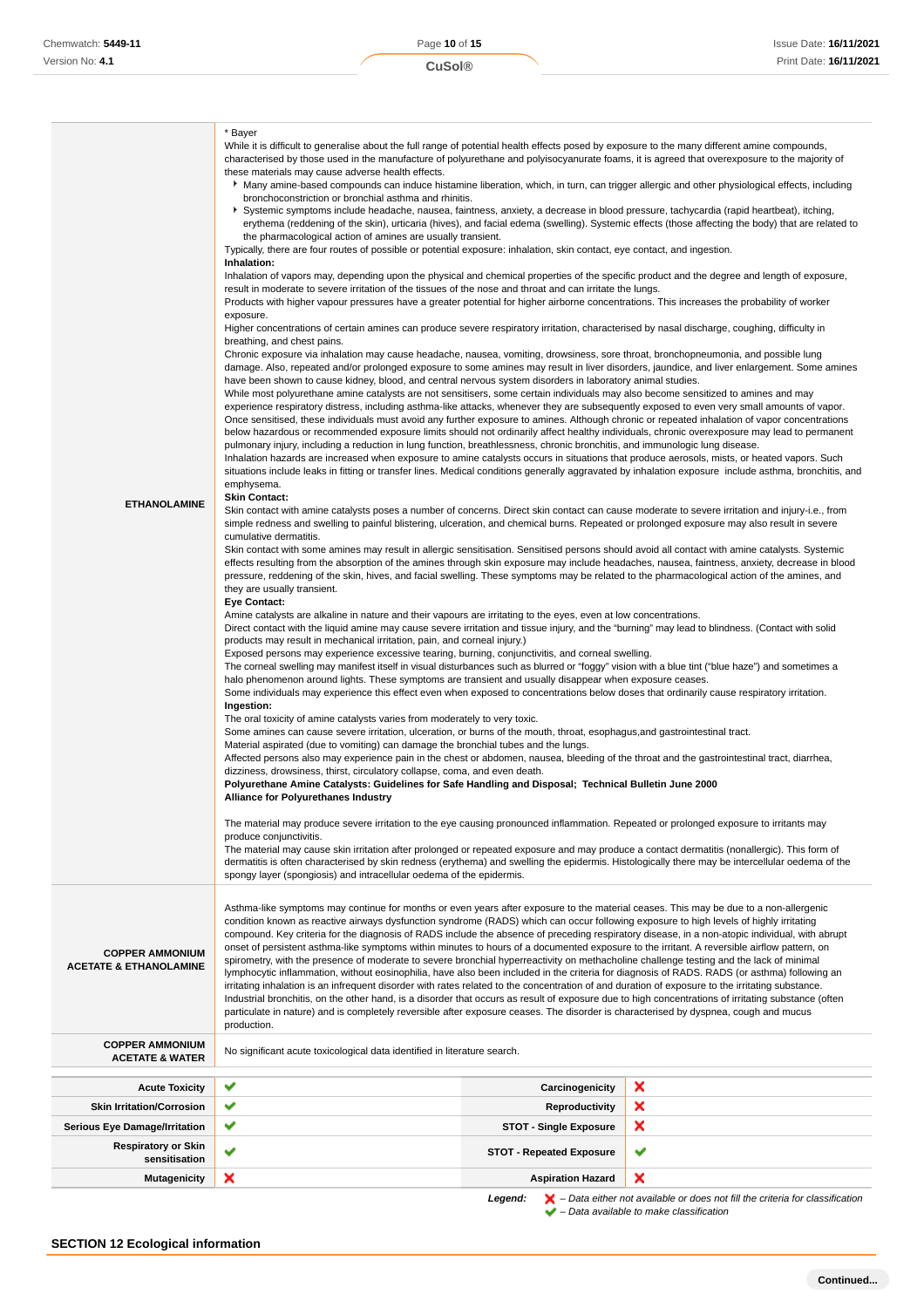Ī

| <b>ETHANOLAMINE</b>                                         | bronchoconstriction or bronchial asthma and rhinitis.<br>▶ Systemic symptoms include headache, nausea, faintness, anxiety, a decrease in blood pressure, tachycardia (rapid heartbeat), itching,<br>erythema (reddening of the skin), urticaria (hives), and facial edema (swelling). Systemic effects (those affecting the body) that are related to<br>the pharmacological action of amines are usually transient.<br>Typically, there are four routes of possible or potential exposure: inhalation, skin contact, eye contact, and ingestion.<br>Inhalation:<br>Inhalation of vapors may, depending upon the physical and chemical properties of the specific product and the degree and length of exposure,<br>result in moderate to severe irritation of the tissues of the nose and throat and can irritate the lungs.<br>Products with higher vapour pressures have a greater potential for higher airborne concentrations. This increases the probability of worker<br>exposure.<br>Higher concentrations of certain amines can produce severe respiratory irritation, characterised by nasal discharge, coughing, difficulty in<br>breathing, and chest pains.<br>Chronic exposure via inhalation may cause headache, nausea, vomiting, drowsiness, sore throat, bronchopneumonia, and possible lung<br>damage. Also, repeated and/or prolonged exposure to some amines may result in liver disorders, jaundice, and liver enlargement. Some amines<br>have been shown to cause kidney, blood, and central nervous system disorders in laboratory animal studies.<br>While most polyurethane amine catalysts are not sensitisers, some certain individuals may also become sensitized to amines and may<br>experience respiratory distress, including asthma-like attacks, whenever they are subsequently exposed to even very small amounts of vapor.<br>Once sensitised, these individuals must avoid any further exposure to amines. Although chronic or repeated inhalation of vapor concentrations<br>below hazardous or recommended exposure limits should not ordinarily affect healthy individuals, chronic overexposure may lead to permanent<br>pulmonary injury, including a reduction in lung function, breathlessness, chronic bronchitis, and immunologic lung disease.<br>Inhalation hazards are increased when exposure to amine catalysts occurs in situations that produce aerosols, mists, or heated vapors. Such<br>situations include leaks in fitting or transfer lines. Medical conditions generally aggravated by inhalation exposure include asthma, bronchitis, and<br>emphysema.<br><b>Skin Contact:</b><br>Skin contact with amine catalysts poses a number of concerns. Direct skin contact can cause moderate to severe irritation and injury-i.e., from<br>simple redness and swelling to painful blistering, ulceration, and chemical burns. Repeated or prolonged exposure may also result in severe<br>cumulative dermatitis.<br>Skin contact with some amines may result in allergic sensitisation. Sensitised persons should avoid all contact with amine catalysts. Systemic<br>effects resulting from the absorption of the amines through skin exposure may include headaches, nausea, faintness, anxiety, decrease in blood<br>pressure, reddening of the skin, hives, and facial swelling. These symptoms may be related to the pharmacological action of the amines, and<br>they are usually transient.<br><b>Eye Contact:</b><br>Amine catalysts are alkaline in nature and their vapours are irritating to the eyes, even at low concentrations.<br>Direct contact with the liquid amine may cause severe irritation and tissue injury, and the "burning" may lead to blindness. (Contact with solid<br>products may result in mechanical irritation, pain, and corneal injury.)<br>Exposed persons may experience excessive tearing, burning, conjunctivitis, and corneal swelling.<br>The corneal swelling may manifest itself in visual disturbances such as blurred or "foggy" vision with a blue tint ("blue haze") and sometimes a<br>halo phenomenon around lights. These symptoms are transient and usually disappear when exposure ceases.<br>Some individuals may experience this effect even when exposed to concentrations below doses that ordinarily cause respiratory irritation.<br>Ingestion:<br>The oral toxicity of amine catalysts varies from moderately to very toxic.<br>Some amines can cause severe irritation, ulceration, or burns of the mouth, throat, esophagus, and gastrointestinal tract.<br>Material aspirated (due to vomiting) can damage the bronchial tubes and the lungs.<br>Affected persons also may experience pain in the chest or abdomen, nausea, bleeding of the throat and the gastrointestinal tract, diarrhea,<br>dizziness, drowsiness, thirst, circulatory collapse, coma, and even death.<br>Polyurethane Amine Catalysts: Guidelines for Safe Handling and Disposal; Technical Bulletin June 2000<br><b>Alliance for Polyurethanes Industry</b><br>The material may produce severe irritation to the eye causing pronounced inflammation. Repeated or prolonged exposure to irritants may<br>produce conjunctivitis.<br>The material may cause skin irritation after prolonged or repeated exposure and may produce a contact dermatitis (nonallergic). This form of<br>dermatitis is often characterised by skin redness (erythema) and swelling the epidermis. Histologically there may be intercellular oedema of the<br>spongy layer (spongiosis) and intracellular oedema of the epidermis. |                                 |                                                                                                                                                                     |
|-------------------------------------------------------------|-------------------------------------------------------------------------------------------------------------------------------------------------------------------------------------------------------------------------------------------------------------------------------------------------------------------------------------------------------------------------------------------------------------------------------------------------------------------------------------------------------------------------------------------------------------------------------------------------------------------------------------------------------------------------------------------------------------------------------------------------------------------------------------------------------------------------------------------------------------------------------------------------------------------------------------------------------------------------------------------------------------------------------------------------------------------------------------------------------------------------------------------------------------------------------------------------------------------------------------------------------------------------------------------------------------------------------------------------------------------------------------------------------------------------------------------------------------------------------------------------------------------------------------------------------------------------------------------------------------------------------------------------------------------------------------------------------------------------------------------------------------------------------------------------------------------------------------------------------------------------------------------------------------------------------------------------------------------------------------------------------------------------------------------------------------------------------------------------------------------------------------------------------------------------------------------------------------------------------------------------------------------------------------------------------------------------------------------------------------------------------------------------------------------------------------------------------------------------------------------------------------------------------------------------------------------------------------------------------------------------------------------------------------------------------------------------------------------------------------------------------------------------------------------------------------------------------------------------------------------------------------------------------------------------------------------------------------------------------------------------------------------------------------------------------------------------------------------------------------------------------------------------------------------------------------------------------------------------------------------------------------------------------------------------------------------------------------------------------------------------------------------------------------------------------------------------------------------------------------------------------------------------------------------------------------------------------------------------------------------------------------------------------------------------------------------------------------------------------------------------------------------------------------------------------------------------------------------------------------------------------------------------------------------------------------------------------------------------------------------------------------------------------------------------------------------------------------------------------------------------------------------------------------------------------------------------------------------------------------------------------------------------------------------------------------------------------------------------------------------------------------------------------------------------------------------------------------------------------------------------------------------------------------------------------------------------------------------------------------------------------------------------------------------------------------------------------------------------------------------------------------------------------------------------------------------------------------------------------------------------------------------------------------------------------------------------------------------------------------------------------------------------------------------------------------------------------------------------------------------------------------------------------------------------------------------------------------------------------------------------------------------------------------------------------------------------------------------------------------------------------------------------------------------------------------------------------------------------------------------------------------------------------------------------------------------------------------------------------------|---------------------------------|---------------------------------------------------------------------------------------------------------------------------------------------------------------------|
| <b>COPPER AMMONIUM</b><br><b>ACETATE &amp; ETHANOLAMINE</b> | Asthma-like symptoms may continue for months or even years after exposure to the material ceases. This may be due to a non-allergenic<br>condition known as reactive airways dysfunction syndrome (RADS) which can occur following exposure to high levels of highly irritating<br>compound. Key criteria for the diagnosis of RADS include the absence of preceding respiratory disease, in a non-atopic individual, with abrupt<br>onset of persistent asthma-like symptoms within minutes to hours of a documented exposure to the irritant. A reversible airflow pattern, on<br>spirometry, with the presence of moderate to severe bronchial hyperreactivity on methacholine challenge testing and the lack of minimal<br>lymphocytic inflammation, without eosinophilia, have also been included in the criteria for diagnosis of RADS. RADS (or asthma) following an<br>irritating inhalation is an infrequent disorder with rates related to the concentration of and duration of exposure to the irritating substance.<br>Industrial bronchitis, on the other hand, is a disorder that occurs as result of exposure due to high concentrations of irritating substance (often<br>particulate in nature) and is completely reversible after exposure ceases. The disorder is characterised by dyspnea, cough and mucus<br>production.                                                                                                                                                                                                                                                                                                                                                                                                                                                                                                                                                                                                                                                                                                                                                                                                                                                                                                                                                                                                                                                                                                                                                                                                                                                                                                                                                                                                                                                                                                                                                                                                                                                                                                                                                                                                                                                                                                                                                                                                                                                                                                                                                                                                                                                                                                                                                                                                                                                                                                                                                                                                                                                                                                                                                                                                                                                                                                                                                                                                                                                                                                                                                                                                                                                                                                                                                                                                                                                                                                                                                                                                                                                                                                                                                                                                                                                                                                                                                                                                                                                                                                                                                                                                                                                               |                                 |                                                                                                                                                                     |
| <b>COPPER AMMONIUM</b><br><b>ACETATE &amp; WATER</b>        | No significant acute toxicological data identified in literature search.                                                                                                                                                                                                                                                                                                                                                                                                                                                                                                                                                                                                                                                                                                                                                                                                                                                                                                                                                                                                                                                                                                                                                                                                                                                                                                                                                                                                                                                                                                                                                                                                                                                                                                                                                                                                                                                                                                                                                                                                                                                                                                                                                                                                                                                                                                                                                                                                                                                                                                                                                                                                                                                                                                                                                                                                                                                                                                                                                                                                                                                                                                                                                                                                                                                                                                                                                                                                                                                                                                                                                                                                                                                                                                                                                                                                                                                                                                                                                                                                                                                                                                                                                                                                                                                                                                                                                                                                                                                                                                                                                                                                                                                                                                                                                                                                                                                                                                                                                                                                                                                                                                                                                                                                                                                                                                                                                                                                                                                                                                                                    |                                 |                                                                                                                                                                     |
| <b>Acute Toxicity</b>                                       | ✔                                                                                                                                                                                                                                                                                                                                                                                                                                                                                                                                                                                                                                                                                                                                                                                                                                                                                                                                                                                                                                                                                                                                                                                                                                                                                                                                                                                                                                                                                                                                                                                                                                                                                                                                                                                                                                                                                                                                                                                                                                                                                                                                                                                                                                                                                                                                                                                                                                                                                                                                                                                                                                                                                                                                                                                                                                                                                                                                                                                                                                                                                                                                                                                                                                                                                                                                                                                                                                                                                                                                                                                                                                                                                                                                                                                                                                                                                                                                                                                                                                                                                                                                                                                                                                                                                                                                                                                                                                                                                                                                                                                                                                                                                                                                                                                                                                                                                                                                                                                                                                                                                                                                                                                                                                                                                                                                                                                                                                                                                                                                                                                                           | Carcinogenicity                 | ×                                                                                                                                                                   |
| <b>Skin Irritation/Corrosion</b>                            | ✔                                                                                                                                                                                                                                                                                                                                                                                                                                                                                                                                                                                                                                                                                                                                                                                                                                                                                                                                                                                                                                                                                                                                                                                                                                                                                                                                                                                                                                                                                                                                                                                                                                                                                                                                                                                                                                                                                                                                                                                                                                                                                                                                                                                                                                                                                                                                                                                                                                                                                                                                                                                                                                                                                                                                                                                                                                                                                                                                                                                                                                                                                                                                                                                                                                                                                                                                                                                                                                                                                                                                                                                                                                                                                                                                                                                                                                                                                                                                                                                                                                                                                                                                                                                                                                                                                                                                                                                                                                                                                                                                                                                                                                                                                                                                                                                                                                                                                                                                                                                                                                                                                                                                                                                                                                                                                                                                                                                                                                                                                                                                                                                                           | <b>Reproductivity</b>           | ×                                                                                                                                                                   |
| <b>Serious Eye Damage/Irritation</b>                        | ✔                                                                                                                                                                                                                                                                                                                                                                                                                                                                                                                                                                                                                                                                                                                                                                                                                                                                                                                                                                                                                                                                                                                                                                                                                                                                                                                                                                                                                                                                                                                                                                                                                                                                                                                                                                                                                                                                                                                                                                                                                                                                                                                                                                                                                                                                                                                                                                                                                                                                                                                                                                                                                                                                                                                                                                                                                                                                                                                                                                                                                                                                                                                                                                                                                                                                                                                                                                                                                                                                                                                                                                                                                                                                                                                                                                                                                                                                                                                                                                                                                                                                                                                                                                                                                                                                                                                                                                                                                                                                                                                                                                                                                                                                                                                                                                                                                                                                                                                                                                                                                                                                                                                                                                                                                                                                                                                                                                                                                                                                                                                                                                                                           | <b>STOT - Single Exposure</b>   | ×                                                                                                                                                                   |
| <b>Respiratory or Skin</b>                                  | ✔                                                                                                                                                                                                                                                                                                                                                                                                                                                                                                                                                                                                                                                                                                                                                                                                                                                                                                                                                                                                                                                                                                                                                                                                                                                                                                                                                                                                                                                                                                                                                                                                                                                                                                                                                                                                                                                                                                                                                                                                                                                                                                                                                                                                                                                                                                                                                                                                                                                                                                                                                                                                                                                                                                                                                                                                                                                                                                                                                                                                                                                                                                                                                                                                                                                                                                                                                                                                                                                                                                                                                                                                                                                                                                                                                                                                                                                                                                                                                                                                                                                                                                                                                                                                                                                                                                                                                                                                                                                                                                                                                                                                                                                                                                                                                                                                                                                                                                                                                                                                                                                                                                                                                                                                                                                                                                                                                                                                                                                                                                                                                                                                           | <b>STOT - Repeated Exposure</b> | ✔                                                                                                                                                                   |
| sensitisation                                               |                                                                                                                                                                                                                                                                                                                                                                                                                                                                                                                                                                                                                                                                                                                                                                                                                                                                                                                                                                                                                                                                                                                                                                                                                                                                                                                                                                                                                                                                                                                                                                                                                                                                                                                                                                                                                                                                                                                                                                                                                                                                                                                                                                                                                                                                                                                                                                                                                                                                                                                                                                                                                                                                                                                                                                                                                                                                                                                                                                                                                                                                                                                                                                                                                                                                                                                                                                                                                                                                                                                                                                                                                                                                                                                                                                                                                                                                                                                                                                                                                                                                                                                                                                                                                                                                                                                                                                                                                                                                                                                                                                                                                                                                                                                                                                                                                                                                                                                                                                                                                                                                                                                                                                                                                                                                                                                                                                                                                                                                                                                                                                                                             |                                 |                                                                                                                                                                     |
| <b>Mutagenicity</b>                                         | ×                                                                                                                                                                                                                                                                                                                                                                                                                                                                                                                                                                                                                                                                                                                                                                                                                                                                                                                                                                                                                                                                                                                                                                                                                                                                                                                                                                                                                                                                                                                                                                                                                                                                                                                                                                                                                                                                                                                                                                                                                                                                                                                                                                                                                                                                                                                                                                                                                                                                                                                                                                                                                                                                                                                                                                                                                                                                                                                                                                                                                                                                                                                                                                                                                                                                                                                                                                                                                                                                                                                                                                                                                                                                                                                                                                                                                                                                                                                                                                                                                                                                                                                                                                                                                                                                                                                                                                                                                                                                                                                                                                                                                                                                                                                                                                                                                                                                                                                                                                                                                                                                                                                                                                                                                                                                                                                                                                                                                                                                                                                                                                                                           | <b>Aspiration Hazard</b>        | ×                                                                                                                                                                   |
|                                                             |                                                                                                                                                                                                                                                                                                                                                                                                                                                                                                                                                                                                                                                                                                                                                                                                                                                                                                                                                                                                                                                                                                                                                                                                                                                                                                                                                                                                                                                                                                                                                                                                                                                                                                                                                                                                                                                                                                                                                                                                                                                                                                                                                                                                                                                                                                                                                                                                                                                                                                                                                                                                                                                                                                                                                                                                                                                                                                                                                                                                                                                                                                                                                                                                                                                                                                                                                                                                                                                                                                                                                                                                                                                                                                                                                                                                                                                                                                                                                                                                                                                                                                                                                                                                                                                                                                                                                                                                                                                                                                                                                                                                                                                                                                                                                                                                                                                                                                                                                                                                                                                                                                                                                                                                                                                                                                                                                                                                                                                                                                                                                                                                             | Legend:                         | $\blacktriangleright$ - Data either not available or does not fill the criteria for classification<br>$\blacktriangleright$ - Data available to make classification |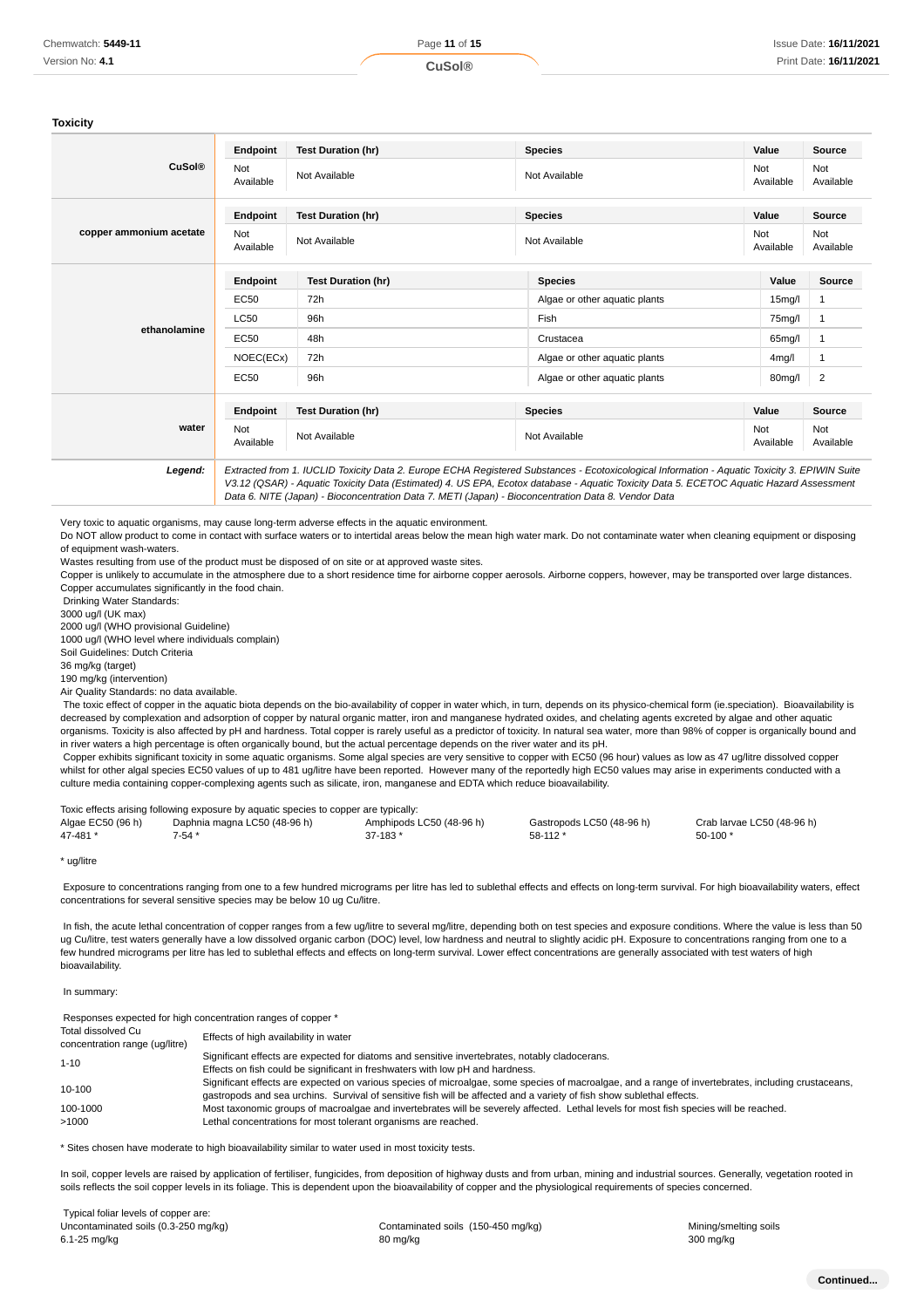#### **Toxicity**

|                         | Endpoint                | <b>Test Duration (hr)</b>                                                                                                                                                                                                                                                                                                                                                                       | <b>Species</b>                | Value               | <b>Source</b>    |
|-------------------------|-------------------------|-------------------------------------------------------------------------------------------------------------------------------------------------------------------------------------------------------------------------------------------------------------------------------------------------------------------------------------------------------------------------------------------------|-------------------------------|---------------------|------------------|
| <b>CuSol®</b>           | Not<br>Available        | Not Available                                                                                                                                                                                                                                                                                                                                                                                   | Not Available                 | Not<br>Available    | Not<br>Available |
|                         | Endpoint                | <b>Test Duration (hr)</b>                                                                                                                                                                                                                                                                                                                                                                       | <b>Species</b>                | Value               | Source           |
| copper ammonium acetate | <b>Not</b><br>Available | Not Available                                                                                                                                                                                                                                                                                                                                                                                   | Not Available                 | Not<br>Available    | Not<br>Available |
| ethanolamine            | Endpoint                | <b>Test Duration (hr)</b>                                                                                                                                                                                                                                                                                                                                                                       | <b>Species</b>                | Value               | <b>Source</b>    |
|                         | <b>EC50</b>             | 72h                                                                                                                                                                                                                                                                                                                                                                                             | Algae or other aquatic plants | 15 <sub>mg</sub> /l | 1                |
|                         | <b>LC50</b>             | 96h                                                                                                                                                                                                                                                                                                                                                                                             | Fish                          | 75mg/l              | 1                |
|                         | <b>EC50</b>             | 48h                                                                                                                                                                                                                                                                                                                                                                                             | Crustacea                     | 65mg/l              | 1                |
|                         | NOEC(ECx)               | 72h                                                                                                                                                                                                                                                                                                                                                                                             | Algae or other aquatic plants | 4 <sub>mg</sub> /l  | 1                |
|                         | <b>EC50</b>             | 96h                                                                                                                                                                                                                                                                                                                                                                                             | Algae or other aguatic plants | 80mg/l              | 2                |
|                         | Endpoint                | <b>Test Duration (hr)</b>                                                                                                                                                                                                                                                                                                                                                                       | <b>Species</b>                | Value               | Source           |
| water                   | Not<br>Available        | Not Available                                                                                                                                                                                                                                                                                                                                                                                   | Not Available                 | Not<br>Available    | Not<br>Available |
| Legend:                 |                         | Extracted from 1. IUCLID Toxicity Data 2. Europe ECHA Registered Substances - Ecotoxicological Information - Aquatic Toxicity 3. EPIWIN Suite<br>V3.12 (QSAR) - Aquatic Toxicity Data (Estimated) 4. US EPA, Ecotox database - Aquatic Toxicity Data 5. ECETOC Aquatic Hazard Assessment<br>Data 6. NITE (Japan) - Bioconcentration Data 7. METI (Japan) - Bioconcentration Data 8. Vendor Data |                               |                     |                  |

Very toxic to aquatic organisms, may cause long-term adverse effects in the aquatic environment.

Do NOT allow product to come in contact with surface waters or to intertidal areas below the mean high water mark. Do not contaminate water when cleaning equipment or disposing of equipment wash-waters.

Wastes resulting from use of the product must be disposed of on site or at approved waste sites.

Copper is unlikely to accumulate in the atmosphere due to a short residence time for airborne copper aerosols. Airborne coppers, however, may be transported over large distances. Copper accumulates significantly in the food chain.

Drinking Water Standards:

3000 ug/l (UK max)

2000 ug/l (WHO provisional Guideline)

1000 ug/l (WHO level where individuals complain)

Soil Guidelines: Dutch Criteria

36 mg/kg (target)

190 mg/kg (intervention) Air Quality Standards: no data available.

The toxic effect of copper in the aquatic biota depends on the bio-availability of copper in water which, in turn, depends on its physico-chemical form (ie.speciation). Bioavailability is decreased by complexation and adsorption of copper by natural organic matter, iron and manganese hydrated oxides, and chelating agents excreted by algae and other aquatic organisms. Toxicity is also affected by pH and hardness. Total copper is rarely useful as a predictor of toxicity. In natural sea water, more than 98% of copper is organically bound and in river waters a high percentage is often organically bound, but the actual percentage depends on the river water and its pH.

 Copper exhibits significant toxicity in some aquatic organisms. Some algal species are very sensitive to copper with EC50 (96 hour) values as low as 47 ug/litre dissolved copper whilst for other algal species EC50 values of up to 481 ug/litre have been reported. However many of the reportedly high EC50 values may arise in experiments conducted with a culture media containing copper-complexing agents such as silicate, iron, manganese and EDTA which reduce bioavailability.

|                   | Toxic effects arising following exposure by aquatic species to copper are typically: |                          |                           |                            |
|-------------------|--------------------------------------------------------------------------------------|--------------------------|---------------------------|----------------------------|
| Algae EC50 (96 h) | Daphnia magna LC50 (48-96 h)                                                         | Amphipods LC50 (48-96 h) | Gastropods LC50 (48-96 h) | Crab larvae LC50 (48-96 h) |
| 47-481 *          | 7-54 *                                                                               | $37 - 183'$              | $58-112*$                 | 50-100 *                   |

\* ug/litre

 Exposure to concentrations ranging from one to a few hundred micrograms per litre has led to sublethal effects and effects on long-term survival. For high bioavailability waters, effect concentrations for several sensitive species may be below 10 ug Cu/litre.

 In fish, the acute lethal concentration of copper ranges from a few ug/litre to several mg/litre, depending both on test species and exposure conditions. Where the value is less than 50 ug Cu/litre, test waters generally have a low dissolved organic carbon (DOC) level, low hardness and neutral to slightly acidic pH. Exposure to concentrations ranging from one to a few hundred micrograms per litre has led to sublethal effects and effects on long-term survival. Lower effect concentrations are generally associated with test waters of high bioavailability.

#### In summary:

Responses expected for high concentration ranges of copper \*

| Total dissolved Cu<br>concentration range (ug/litre) | Effects of high availability in water                                                                                                                                                                                                                                        |
|------------------------------------------------------|------------------------------------------------------------------------------------------------------------------------------------------------------------------------------------------------------------------------------------------------------------------------------|
| $1 - 10$                                             | Significant effects are expected for diatoms and sensitive invertebrates, notably cladocerans.                                                                                                                                                                               |
|                                                      | Effects on fish could be significant in freshwaters with low pH and hardness.                                                                                                                                                                                                |
| 10-100                                               | Significant effects are expected on various species of microalgae, some species of macroalgae, and a range of invertebrates, including crustaceans,<br>gastropods and sea urchins. Survival of sensitive fish will be affected and a variety of fish show sublethal effects. |
| 100-1000                                             | Most taxonomic groups of macroalgae and invertebrates will be severely affected. Lethal levels for most fish species will be reached.                                                                                                                                        |
| >1000                                                | Lethal concentrations for most tolerant organisms are reached.                                                                                                                                                                                                               |

\* Sites chosen have moderate to high bioavailability similar to water used in most toxicity tests.

In soil, copper levels are raised by application of fertiliser, fungicides, from deposition of highway dusts and from urban, mining and industrial sources. Generally, vegetation rooted in soils reflects the soil copper levels in its foliage. This is dependent upon the bioavailability of copper and the physiological requirements of species concerned.

 Typical foliar levels of copper are: Uncontaminated soils (0.3-250 mg/kg) <br>
Contaminated soils (150-450 mg/kg) Contaminated soils (150-450 mg/kg) Mining/smelting soils 6.1-25 mg/kg 80 mg/kg 300 mg/kg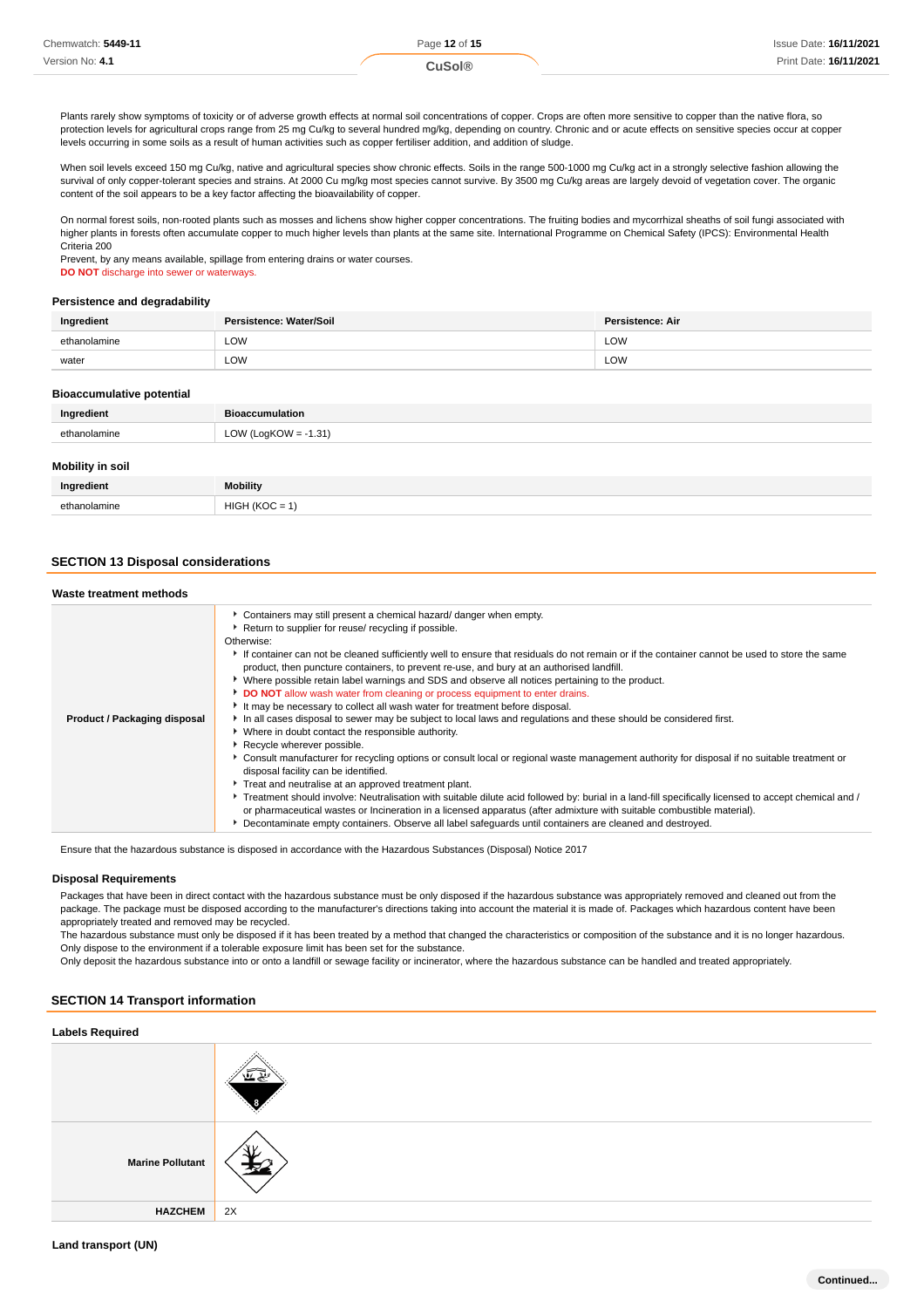| Chemwatch: 5449-11 | Page 12 of 15 | <b>Issue Date: 16/11/2021</b> |
|--------------------|---------------|-------------------------------|
| Version No: 4.1    | uSol®         | Print Date: 16/11/2021        |

Plants rarely show symptoms of toxicity or of adverse growth effects at normal soil concentrations of copper. Crops are often more sensitive to copper than the native flora, so protection levels for agricultural crops range from 25 mg Cu/kg to several hundred mg/kg, depending on country. Chronic and or acute effects on sensitive species occur at copper levels occurring in some soils as a result of human activities such as copper fertiliser addition, and addition of sludge.

When soil levels exceed 150 mg Cu/kg, native and agricultural species show chronic effects. Soils in the range 500-1000 mg Cu/kg act in a strongly selective fashion allowing the survival of only copper-tolerant species and strains. At 2000 Cu mg/kg most species cannot survive. By 3500 mg Cu/kg areas are largely devoid of vegetation cover. The organic content of the soil appears to be a key factor affecting the bioavailability of copper.

On normal forest soils, non-rooted plants such as mosses and lichens show higher copper concentrations. The fruiting bodies and mycorrhizal sheaths of soil fungi associated with higher plants in forests often accumulate copper to much higher levels than plants at the same site. International Programme on Chemical Safety (IPCS): Environmental Health Criteria 200

Prevent, by any means available, spillage from entering drains or water courses. **DO NOT** discharge into sewer or waterways.

#### **Persistence and degradability**

| Ingredient   | Persistence: Water/Soil | <b>Persistence: Air</b> |
|--------------|-------------------------|-------------------------|
| ethanolamine | LOW                     | LOW                     |
| water        | LOW                     | LOW                     |

#### **Bioaccumulative potential**

| Ingredient           | <b>Bioaccumulation</b>                                                                           |
|----------------------|--------------------------------------------------------------------------------------------------|
| polomine<br>∩th<br>. | $-1.31'$<br>$^{\prime}$ (1 $\alpha$ KOW -<br><b>LOW</b><br>ن -<br>$\sim$ $\sim$ $\sim$<br>$\sim$ |

# **Mobility in soil**

| Ingredient    | <b>Mobility</b>                   |
|---------------|-----------------------------------|
| ethanola<br>. | HIG<br>$\sim$ /1/ $\sim$<br>_____ |

## **SECTION 13 Disposal considerations**

| Waste treatment methods      |                                                                                                                                                                                                                                                                                                                                                                                                                                                                                                                                                                                                                                                                                                                                                                                                                                                                                                                                                                                                                                                                                                                                                                                                                                                                                                                                                                                                                                                                                                                           |
|------------------------------|---------------------------------------------------------------------------------------------------------------------------------------------------------------------------------------------------------------------------------------------------------------------------------------------------------------------------------------------------------------------------------------------------------------------------------------------------------------------------------------------------------------------------------------------------------------------------------------------------------------------------------------------------------------------------------------------------------------------------------------------------------------------------------------------------------------------------------------------------------------------------------------------------------------------------------------------------------------------------------------------------------------------------------------------------------------------------------------------------------------------------------------------------------------------------------------------------------------------------------------------------------------------------------------------------------------------------------------------------------------------------------------------------------------------------------------------------------------------------------------------------------------------------|
| Product / Packaging disposal | • Containers may still present a chemical hazard/ danger when empty.<br>Return to supplier for reuse/ recycling if possible.<br>Otherwise:<br>If container can not be cleaned sufficiently well to ensure that residuals do not remain or if the container cannot be used to store the same<br>product, then puncture containers, to prevent re-use, and bury at an authorised landfill.<br>▶ Where possible retain label warnings and SDS and observe all notices pertaining to the product.<br>DO NOT allow wash water from cleaning or process equipment to enter drains.<br>It may be necessary to collect all wash water for treatment before disposal.<br>In all cases disposal to sewer may be subject to local laws and regulations and these should be considered first.<br>• Where in doubt contact the responsible authority.<br>Recycle wherever possible.<br>▶ Consult manufacturer for recycling options or consult local or regional waste management authority for disposal if no suitable treatment or<br>disposal facility can be identified.<br>Treat and neutralise at an approved treatment plant.<br>▶ Treatment should involve: Neutralisation with suitable dilute acid followed by: burial in a land-fill specifically licensed to accept chemical and /<br>or pharmaceutical wastes or Incineration in a licensed apparatus (after admixture with suitable combustible material).<br>▶ Decontaminate empty containers. Observe all label safeguards until containers are cleaned and destroyed. |

Ensure that the hazardous substance is disposed in accordance with the Hazardous Substances (Disposal) Notice 2017

#### **Disposal Requirements**

Packages that have been in direct contact with the hazardous substance must be only disposed if the hazardous substance was appropriately removed and cleaned out from the package. The package must be disposed according to the manufacturer's directions taking into account the material it is made of. Packages which hazardous content have been appropriately treated and removed may be recycled.

The hazardous substance must only be disposed if it has been treated by a method that changed the characteristics or composition of the substance and it is no longer hazardous. Only dispose to the environment if a tolerable exposure limit has been set for the substance.

Only deposit the hazardous substance into or onto a landfill or sewage facility or incinerator, where the hazardous substance can be handled and treated appropriately.

# **SECTION 14 Transport information**

| <b>Labels Required</b>  |    |
|-------------------------|----|
|                         |    |
| <b>Marine Pollutant</b> |    |
| <b>HAZCHEM</b>          | 2X |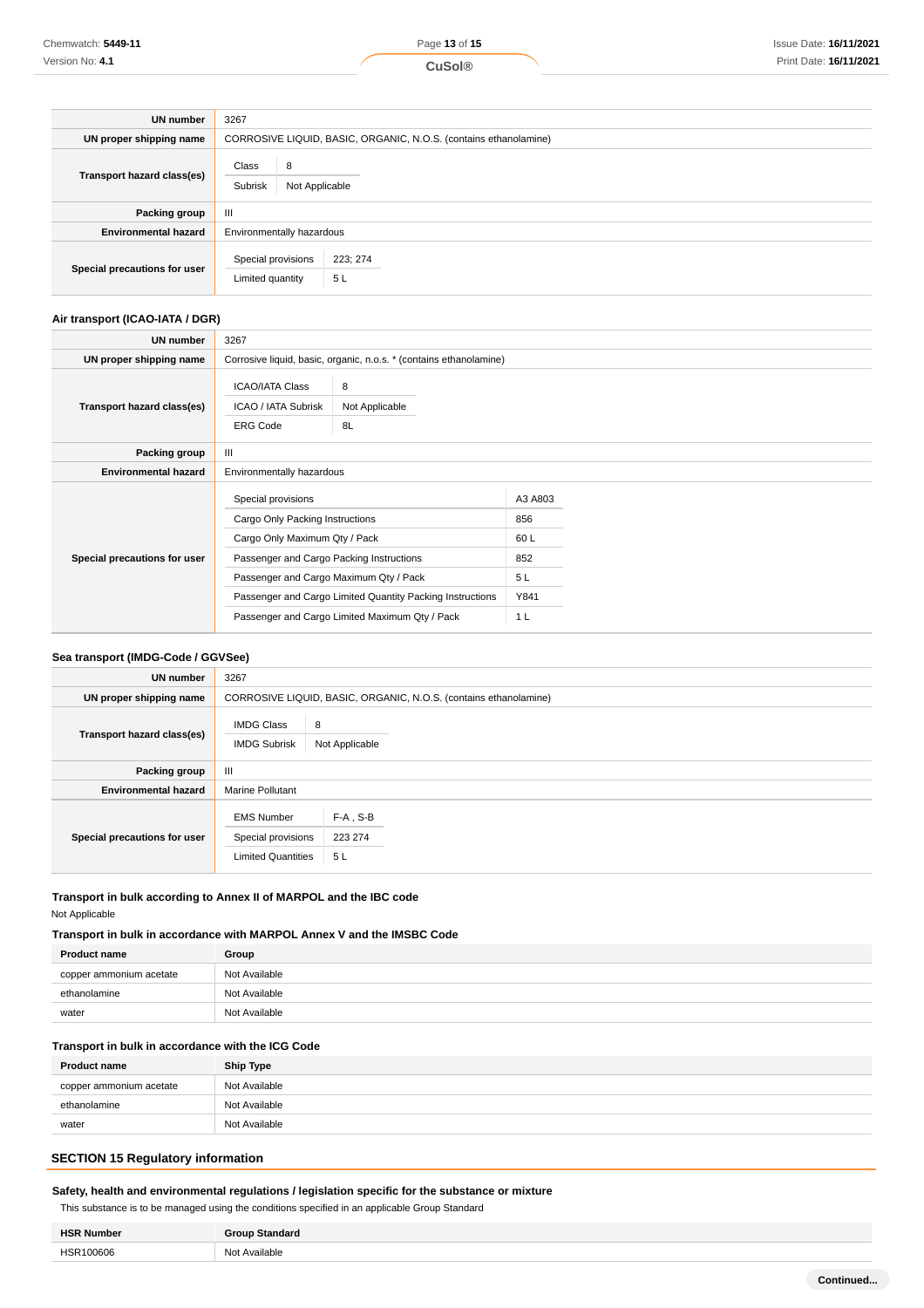| <b>UN number</b>             | 3267                                    |                                                                  |  |  |
|------------------------------|-----------------------------------------|------------------------------------------------------------------|--|--|
| UN proper shipping name      |                                         | CORROSIVE LIQUID, BASIC, ORGANIC, N.O.S. (contains ethanolamine) |  |  |
| Transport hazard class(es)   | Class<br>8<br>Subrisk<br>Not Applicable |                                                                  |  |  |
| Packing group                | $\mathbf{III}$                          |                                                                  |  |  |
| <b>Environmental hazard</b>  | Environmentally hazardous               |                                                                  |  |  |
| Special precautions for user | Special provisions<br>Limited quantity  | 223; 274<br>5L                                                   |  |  |

# **Air transport (ICAO-IATA / DGR)**

| UN number                    | 3267                                                                                                                                                                         |                                                                                                             |                                                               |  |
|------------------------------|------------------------------------------------------------------------------------------------------------------------------------------------------------------------------|-------------------------------------------------------------------------------------------------------------|---------------------------------------------------------------|--|
| UN proper shipping name      |                                                                                                                                                                              | Corrosive liquid, basic, organic, n.o.s. * (contains ethanolamine)                                          |                                                               |  |
| Transport hazard class(es)   | <b>ICAO/IATA Class</b><br>ICAO / IATA Subrisk<br><b>ERG Code</b>                                                                                                             | 8<br>Not Applicable<br>8L                                                                                   |                                                               |  |
| Packing group                | $\mathbf{III}$                                                                                                                                                               |                                                                                                             |                                                               |  |
| <b>Environmental hazard</b>  | Environmentally hazardous                                                                                                                                                    |                                                                                                             |                                                               |  |
| Special precautions for user | Special provisions<br>Cargo Only Packing Instructions<br>Cargo Only Maximum Qty / Pack<br>Passenger and Cargo Packing Instructions<br>Passenger and Cargo Maximum Qty / Pack | Passenger and Cargo Limited Quantity Packing Instructions<br>Passenger and Cargo Limited Maximum Qty / Pack | A3 A803<br>856<br>60 L<br>852<br>5L<br>Y841<br>1 <sub>L</sub> |  |

# **Sea transport (IMDG-Code / GGVSee)**

| UN number                    | 3267                                                                 |                                                                  |  |  |
|------------------------------|----------------------------------------------------------------------|------------------------------------------------------------------|--|--|
| UN proper shipping name      |                                                                      | CORROSIVE LIQUID, BASIC, ORGANIC, N.O.S. (contains ethanolamine) |  |  |
| Transport hazard class(es)   | <b>IMDG Class</b><br><b>IMDG Subrisk</b>                             | 8<br>Not Applicable                                              |  |  |
| Packing group                | Ш                                                                    |                                                                  |  |  |
| <b>Environmental hazard</b>  | <b>Marine Pollutant</b>                                              |                                                                  |  |  |
| Special precautions for user | <b>EMS Number</b><br>Special provisions<br><b>Limited Quantities</b> | $F-A$ , S-B<br>223 274<br>5L                                     |  |  |

# **Transport in bulk according to Annex II of MARPOL and the IBC code** Not Applicable

# **Transport in bulk in accordance with MARPOL Annex V and the IMSBC Code**

| <b>Product name</b>     | Group         |
|-------------------------|---------------|
| copper ammonium acetate | Not Available |
| ethanolamine            | Not Available |
| water                   | Not Available |

# **Transport in bulk in accordance with the ICG Code**

| <b>Product name</b>     | Ship Type     |
|-------------------------|---------------|
| copper ammonium acetate | Not Available |
| ethanolamine            | Not Available |
| water                   | Not Available |
|                         |               |

# **SECTION 15 Regulatory information**

# **Safety, health and environmental regulations / legislation specific for the substance or mixture**

This substance is to be managed using the conditions specified in an applicable Group Standard

| HSD<br>'Nıın<br>nher |                      |
|----------------------|----------------------|
| $\sim$<br>00606<br>. | Available<br>Nο<br>. |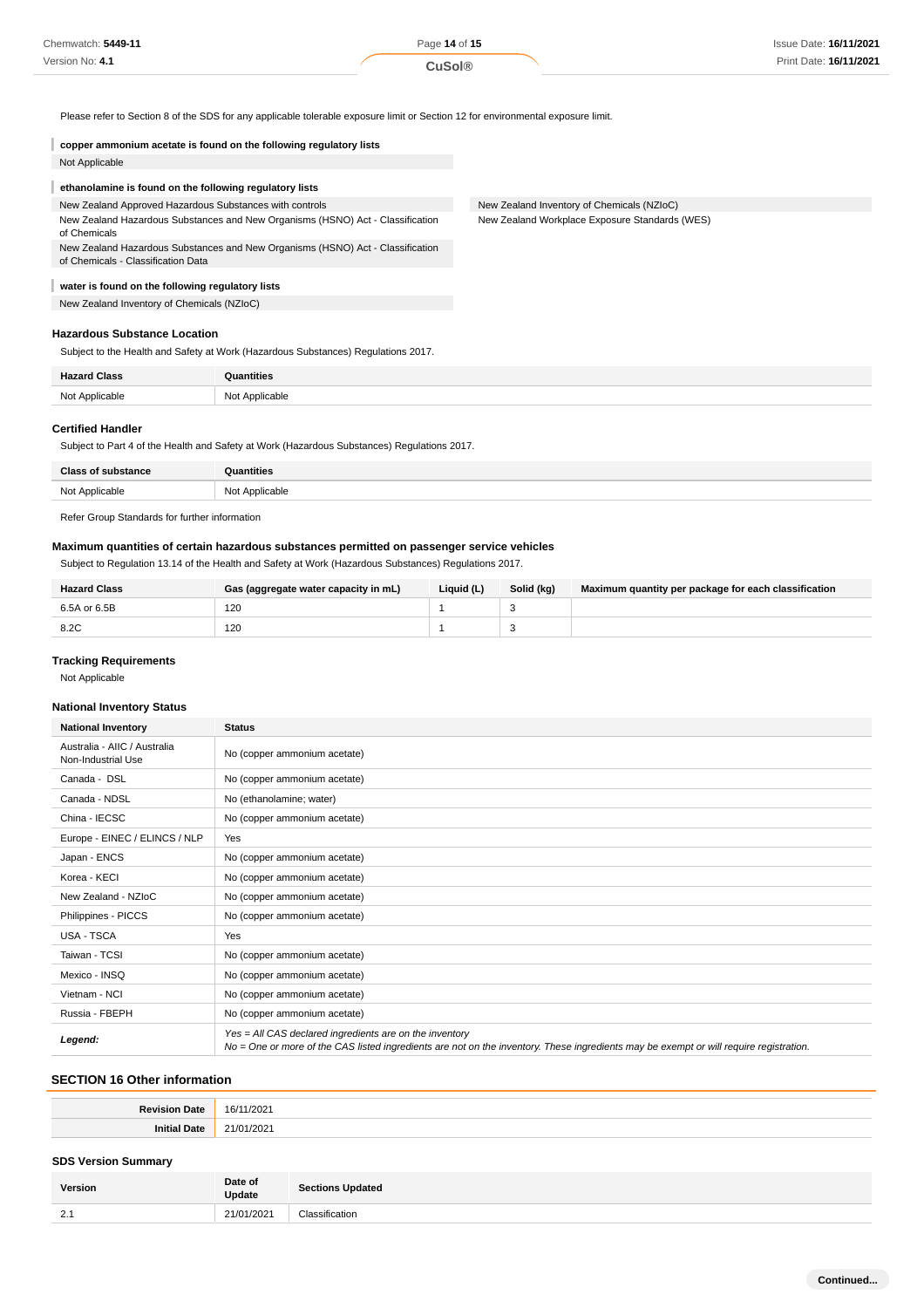Please refer to Section 8 of the SDS for any applicable tolerable exposure limit or Section 12 for environmental exposure limit.

| copper ammonium acetate is found on the following regulatory lists                                                   |                                                |
|----------------------------------------------------------------------------------------------------------------------|------------------------------------------------|
| Not Applicable                                                                                                       |                                                |
| ethanolamine is found on the following regulatory lists                                                              |                                                |
| New Zealand Approved Hazardous Substances with controls                                                              | New Zealand Inventory of Chemicals (NZIoC)     |
| New Zealand Hazardous Substances and New Organisms (HSNO) Act - Classification<br>of Chemicals                       | New Zealand Workplace Exposure Standards (WES) |
| New Zealand Hazardous Substances and New Organisms (HSNO) Act - Classification<br>of Chemicals - Classification Data |                                                |
| water is found on the following regulatory lists                                                                     |                                                |
| _.                                                                                                                   |                                                |

New Zealand Inventory of Chemicals (NZIoC)

# **Hazardous Substance Location**

Subject to the Health and Safety at Work (Hazardous Substances) Regulations 2017.

| <b>Hazard Class</b> | Quantities     |
|---------------------|----------------|
| Not Applicable      | Not Applicable |

#### **Certified Handler**

Subject to Part 4 of the Health and Safety at Work (Hazardous Substances) Regulations 2017.

| <b>Class of substance</b> | Quantities     |
|---------------------------|----------------|
| Not Applicable            | Not Applicable |
|                           |                |

Refer Group Standards for further information

# **Maximum quantities of certain hazardous substances permitted on passenger service vehicles**

Subject to Regulation 13.14 of the Health and Safety at Work (Hazardous Substances) Regulations 2017.

| <b>Hazard Class</b> | Gas (aggregate water capacity in mL) | Liquid (L) | Solid (kg) | Maximum quantity per package for each classification |
|---------------------|--------------------------------------|------------|------------|------------------------------------------------------|
| 6.5A or 6.5B        | 120                                  |            |            |                                                      |
| 8.2C                | 120                                  |            |            |                                                      |

# **Tracking Requirements**

Not Applicable

# **National Inventory Status**

| <b>National Inventory</b>                          | <b>Status</b>                                                                                                                                                                                     |
|----------------------------------------------------|---------------------------------------------------------------------------------------------------------------------------------------------------------------------------------------------------|
| Australia - AIIC / Australia<br>Non-Industrial Use | No (copper ammonium acetate)                                                                                                                                                                      |
| Canada - DSL                                       | No (copper ammonium acetate)                                                                                                                                                                      |
| Canada - NDSL                                      | No (ethanolamine; water)                                                                                                                                                                          |
| China - IECSC                                      | No (copper ammonium acetate)                                                                                                                                                                      |
| Europe - EINEC / ELINCS / NLP                      | Yes                                                                                                                                                                                               |
| Japan - ENCS                                       | No (copper ammonium acetate)                                                                                                                                                                      |
| Korea - KECI                                       | No (copper ammonium acetate)                                                                                                                                                                      |
| New Zealand - NZIoC                                | No (copper ammonium acetate)                                                                                                                                                                      |
| Philippines - PICCS                                | No (copper ammonium acetate)                                                                                                                                                                      |
| USA - TSCA                                         | Yes                                                                                                                                                                                               |
| Taiwan - TCSI                                      | No (copper ammonium acetate)                                                                                                                                                                      |
| Mexico - INSQ                                      | No (copper ammonium acetate)                                                                                                                                                                      |
| Vietnam - NCI                                      | No (copper ammonium acetate)                                                                                                                                                                      |
| Russia - FBEPH                                     | No (copper ammonium acetate)                                                                                                                                                                      |
| Legend:                                            | Yes = All CAS declared ingredients are on the inventory<br>No = One or more of the CAS listed ingredients are not on the inventory. These ingredients may be exempt or will require registration. |

# **SECTION 16 Other information**

# **SDS Version Summary**

| Version       | Date of<br><b>Update</b> | <b>Sections Updated</b> |
|---------------|--------------------------|-------------------------|
| $\mathcal{D}$ | 1202                     | $\cdots$                |
| $\sim$        | ,,,,,,,                  | 2000                    |
|               |                          | sification              |